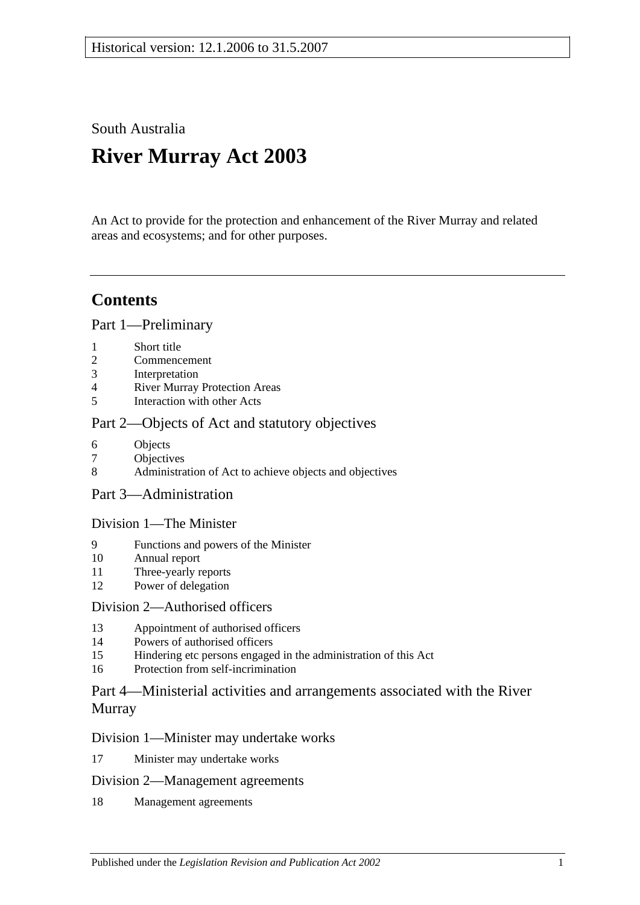South Australia

# **River Murray Act 2003**

An Act to provide for the protection and enhancement of the River Murray and related areas and ecosystems; and for other purposes.

# **Contents**

[Part 1—Preliminary](#page-2-0)

- 1 [Short title](#page-2-1)
- 2 [Commencement](#page-2-2)
- 3 [Interpretation](#page-2-3)
- 4 [River Murray Protection Areas](#page-5-0)
- 5 [Interaction with other Acts](#page-5-1)

### [Part 2—Objects of Act and statutory objectives](#page-6-0)

- 6 [Objects](#page-6-1)
- 7 [Objectives](#page-7-0)
- 8 [Administration of Act to achieve objects and objectives](#page-9-0)
- [Part 3—Administration](#page-9-1)

### [Division 1—The Minister](#page-9-2)

- 9 [Functions and powers of the Minister](#page-9-3)
- 10 [Annual report](#page-11-0)
- 11 [Three-yearly reports](#page-11-1)
- 12 [Power of delegation](#page-11-2)

### [Division 2—Authorised officers](#page-12-0)

- 13 [Appointment of authorised officers](#page-12-1)
- 14 [Powers of authorised officers](#page-12-2)
- 15 [Hindering etc persons engaged in the administration of this Act](#page-14-0)
- 16 [Protection from self-incrimination](#page-15-0)

### [Part 4—Ministerial activities and arrangements associated with the River](#page-15-1)  [Murray](#page-15-1)

### [Division 1—Minister may undertake works](#page-15-2)

17 [Minister may undertake works](#page-15-3)

### [Division 2—Management agreements](#page-16-0)

18 [Management agreements](#page-16-1)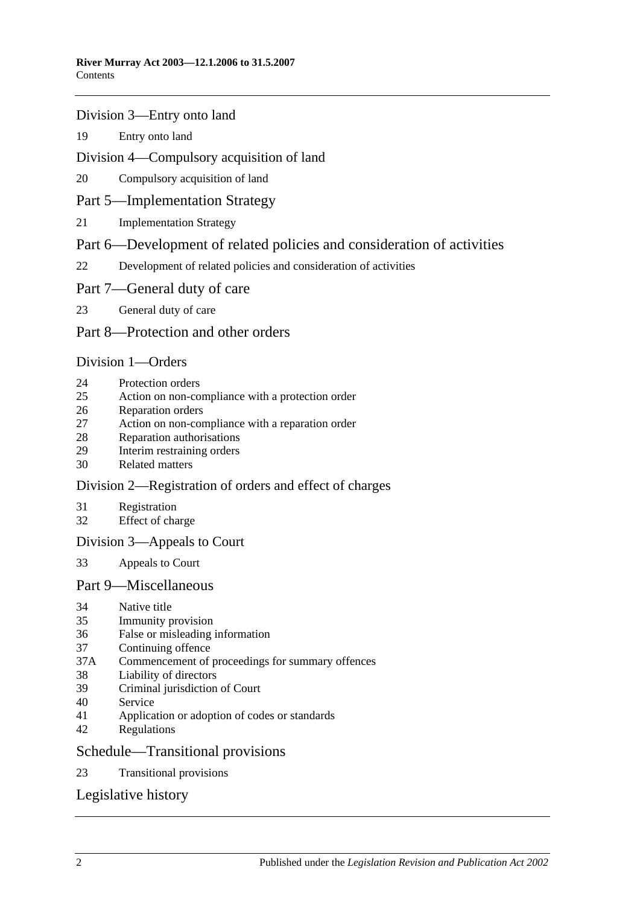#### [Division 3—Entry onto land](#page-17-0)

[Entry onto land](#page-17-1)

### [Division 4—Compulsory acquisition of land](#page-18-0)

[Compulsory acquisition of land](#page-18-1)

### [Part 5—Implementation Strategy](#page-18-2)

[Implementation Strategy](#page-18-3)

### [Part 6—Development of related policies and consideration of activities](#page-19-0)

[Development of related policies and consideration of activities](#page-19-1)

#### [Part 7—General duty of care](#page-23-0)

[General duty of care](#page-23-1)

### [Part 8—Protection and other orders](#page-24-0)

### [Division 1—Orders](#page-24-1)

- [Protection orders](#page-24-2)
- [Action on non-compliance with a protection order](#page-26-0)
- [Reparation orders](#page-27-0)
- [Action on non-compliance with a reparation order](#page-28-0)
- [Reparation authorisations](#page-29-0)
- [Interim restraining orders](#page-30-0)
- [Related matters](#page-31-0)

### [Division 2—Registration of orders and effect of charges](#page-31-1)

- [Registration](#page-31-2)
- [Effect of charge](#page-32-0)

### [Division 3—Appeals to Court](#page-32-1)

[Appeals to Court](#page-32-2)

### [Part 9—Miscellaneous](#page-33-0)

- [Native title](#page-33-1)
- [Immunity provision](#page-33-2)
- [False or misleading information](#page-34-0)
- [Continuing offence](#page-34-1)
- 37A [Commencement of proceedings for summary offences](#page-34-2)
- [Liability of directors](#page-35-0)
- [Criminal jurisdiction of Court](#page-35-1)
- [Service](#page-35-2)
- [Application or adoption of codes or standards](#page-35-3)
- [Regulations](#page-36-0)

#### [Schedule—Transitional provisions](#page-38-0)

[Transitional provisions](#page-38-1)

### [Legislative history](#page-40-0)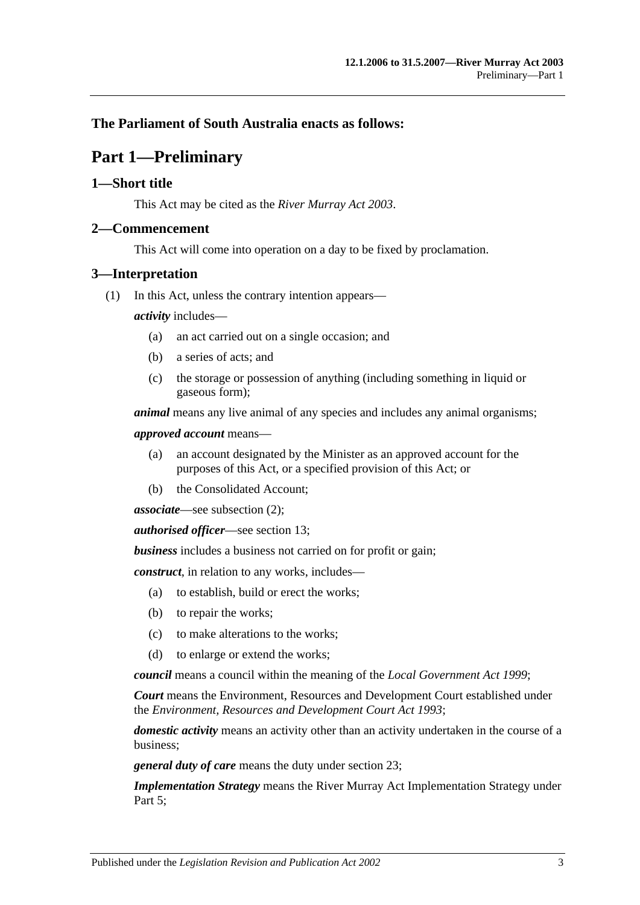### <span id="page-2-0"></span>**The Parliament of South Australia enacts as follows:**

# **Part 1—Preliminary**

### <span id="page-2-1"></span>**1—Short title**

This Act may be cited as the *River Murray Act 2003*.

#### <span id="page-2-2"></span>**2—Commencement**

This Act will come into operation on a day to be fixed by proclamation.

#### <span id="page-2-3"></span>**3—Interpretation**

(1) In this Act, unless the contrary intention appears—

*activity* includes—

- (a) an act carried out on a single occasion; and
- (b) a series of acts; and
- (c) the storage or possession of anything (including something in liquid or gaseous form);

*animal* means any live animal of any species and includes any animal organisms;

*approved account* means—

- (a) an account designated by the Minister as an approved account for the purposes of this Act, or a specified provision of this Act; or
- (b) the Consolidated Account;

*associate*—see [subsection](#page-4-0) (2);

*authorised officer*—see [section](#page-12-1) 13;

*business* includes a business not carried on for profit or gain;

*construct*, in relation to any works, includes—

- (a) to establish, build or erect the works;
- (b) to repair the works;
- (c) to make alterations to the works;
- (d) to enlarge or extend the works;

*council* means a council within the meaning of the *[Local Government Act](http://www.legislation.sa.gov.au/index.aspx?action=legref&type=act&legtitle=Local%20Government%20Act%201999) 1999*;

*Court* means the Environment, Resources and Development Court established under the *[Environment, Resources and Development Court Act](http://www.legislation.sa.gov.au/index.aspx?action=legref&type=act&legtitle=Environment%20Resources%20and%20Development%20Court%20Act%201993) 1993*;

*domestic activity* means an activity other than an activity undertaken in the course of a business;

*general duty of care* means the duty under [section](#page-23-1) 23;

*Implementation Strategy* means the River Murray Act Implementation Strategy under [Part 5;](#page-18-2)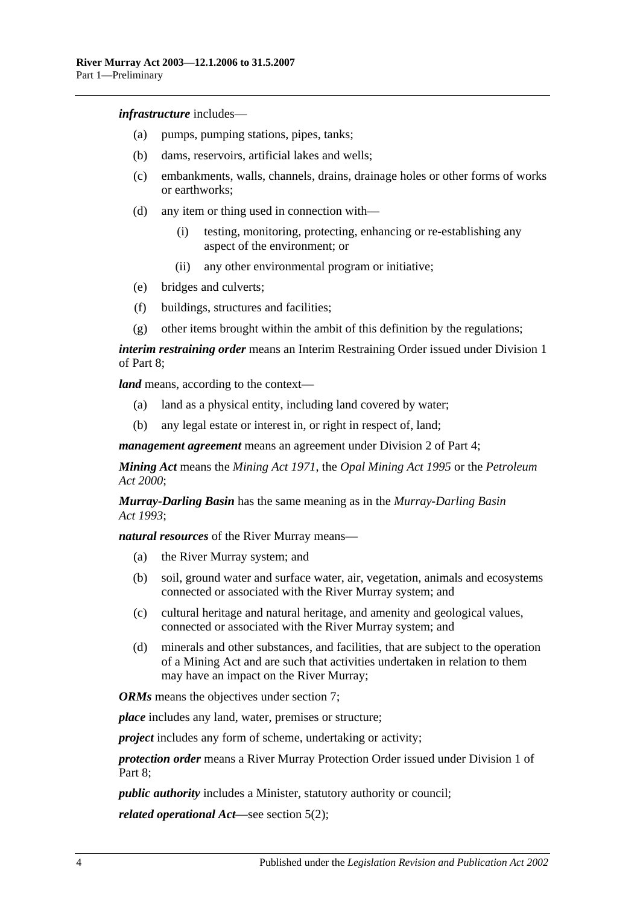*infrastructure* includes—

- (a) pumps, pumping stations, pipes, tanks;
- (b) dams, reservoirs, artificial lakes and wells;
- (c) embankments, walls, channels, drains, drainage holes or other forms of works or earthworks;
- (d) any item or thing used in connection with—
	- (i) testing, monitoring, protecting, enhancing or re-establishing any aspect of the environment; or
	- (ii) any other environmental program or initiative;
- (e) bridges and culverts;
- (f) buildings, structures and facilities;
- (g) other items brought within the ambit of this definition by the regulations;

*interim restraining order* means an Interim Restraining Order issued under [Division 1](#page-24-1) of [Part 8;](#page-24-0)

*land* means, according to the context—

- (a) land as a physical entity, including land covered by water;
- (b) any legal estate or interest in, or right in respect of, land;

*management agreement* means an agreement under [Division 2](#page-16-0) of [Part 4;](#page-15-1)

*Mining Act* means the *[Mining Act](http://www.legislation.sa.gov.au/index.aspx?action=legref&type=act&legtitle=Mining%20Act%201971) 1971*, the *[Opal Mining Act](http://www.legislation.sa.gov.au/index.aspx?action=legref&type=act&legtitle=Opal%20Mining%20Act%201995) 1995* or the *[Petroleum](http://www.legislation.sa.gov.au/index.aspx?action=legref&type=act&legtitle=Petroleum%20Act%202000)  Act [2000](http://www.legislation.sa.gov.au/index.aspx?action=legref&type=act&legtitle=Petroleum%20Act%202000)*;

*Murray-Darling Basin* has the same meaning as in the *[Murray-Darling Basin](http://www.legislation.sa.gov.au/index.aspx?action=legref&type=act&legtitle=Murray-Darling%20Basin%20Act%201993)  Act [1993](http://www.legislation.sa.gov.au/index.aspx?action=legref&type=act&legtitle=Murray-Darling%20Basin%20Act%201993)*;

*natural resources* of the River Murray means—

- (a) the River Murray system; and
- (b) soil, ground water and surface water, air, vegetation, animals and ecosystems connected or associated with the River Murray system; and
- (c) cultural heritage and natural heritage, and amenity and geological values, connected or associated with the River Murray system; and
- (d) minerals and other substances, and facilities, that are subject to the operation of a Mining Act and are such that activities undertaken in relation to them may have an impact on the River Murray;

*ORMs* means the objectives under [section](#page-7-0) 7;

*place* includes any land, water, premises or structure;

*project* includes any form of scheme, undertaking or activity;

*protection order* means a River Murray Protection Order issued under [Division 1](#page-24-1) of Part 8:

*public authority* includes a Minister, statutory authority or council;

*related operational Act*—see [section](#page-5-2) 5(2);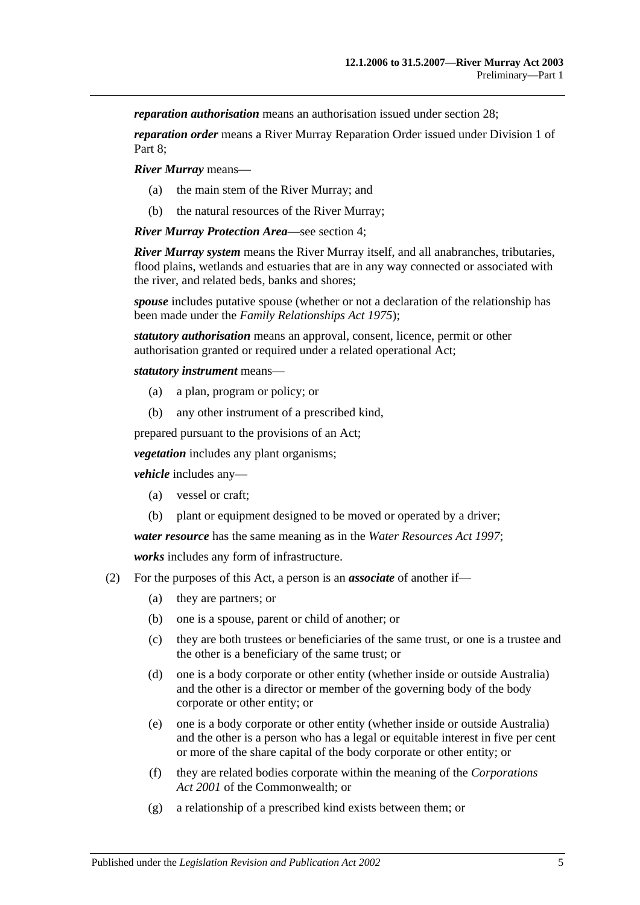*reparation authorisation* means an authorisation issued under [section](#page-29-0) 28;

*reparation order* means a River Murray Reparation Order issued under [Division 1](#page-24-1) of [Part 8;](#page-24-0)

*River Murray* means—

- (a) the main stem of the River Murray; and
- (b) the natural resources of the River Murray;

*River Murray Protection Area*—see [section](#page-5-0) 4;

*River Murray system* means the River Murray itself, and all anabranches, tributaries, flood plains, wetlands and estuaries that are in any way connected or associated with the river, and related beds, banks and shores;

*spouse* includes putative spouse (whether or not a declaration of the relationship has been made under the *[Family Relationships Act](http://www.legislation.sa.gov.au/index.aspx?action=legref&type=act&legtitle=Family%20Relationships%20Act%201975) 1975*);

*statutory authorisation* means an approval, consent, licence, permit or other authorisation granted or required under a related operational Act;

*statutory instrument* means—

- (a) a plan, program or policy; or
- (b) any other instrument of a prescribed kind,

prepared pursuant to the provisions of an Act;

*vegetation* includes any plant organisms;

*vehicle* includes any—

- (a) vessel or craft;
- (b) plant or equipment designed to be moved or operated by a driver;

*water resource* has the same meaning as in the *[Water Resources Act](http://www.legislation.sa.gov.au/index.aspx?action=legref&type=act&legtitle=Water%20Resources%20Act%201997) 1997*;

*works* includes any form of infrastructure.

- <span id="page-4-0"></span>(2) For the purposes of this Act, a person is an *associate* of another if—
	- (a) they are partners; or
	- (b) one is a spouse, parent or child of another; or
	- (c) they are both trustees or beneficiaries of the same trust, or one is a trustee and the other is a beneficiary of the same trust; or
	- (d) one is a body corporate or other entity (whether inside or outside Australia) and the other is a director or member of the governing body of the body corporate or other entity; or
	- (e) one is a body corporate or other entity (whether inside or outside Australia) and the other is a person who has a legal or equitable interest in five per cent or more of the share capital of the body corporate or other entity; or
	- (f) they are related bodies corporate within the meaning of the *Corporations Act 2001* of the Commonwealth; or
	- (g) a relationship of a prescribed kind exists between them; or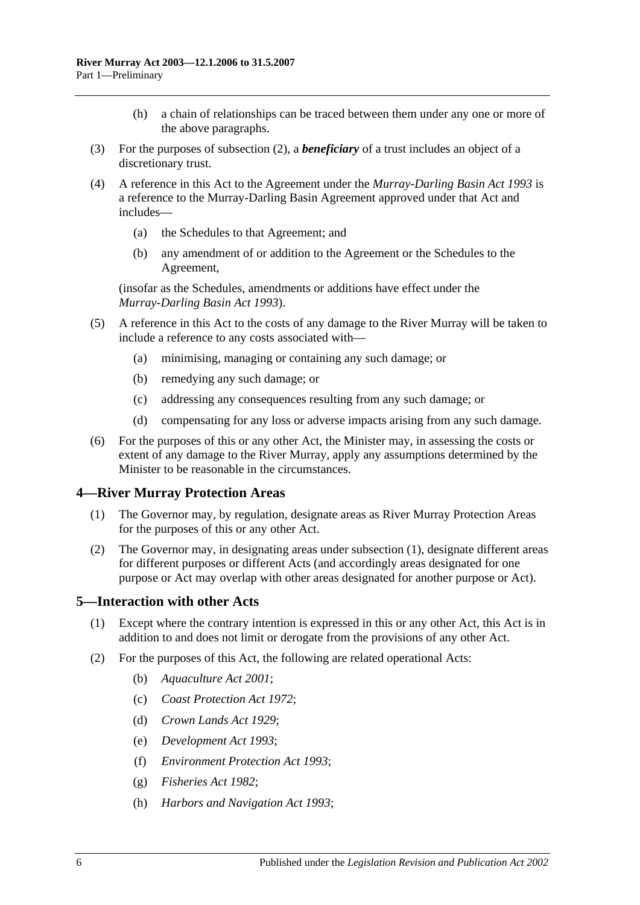- (h) a chain of relationships can be traced between them under any one or more of the above paragraphs.
- (3) For the purposes of [subsection](#page-4-0) (2), a *beneficiary* of a trust includes an object of a discretionary trust.
- (4) A reference in this Act to the Agreement under the *[Murray-Darling Basin Act](http://www.legislation.sa.gov.au/index.aspx?action=legref&type=act&legtitle=Murray-Darling%20Basin%20Act%201993) 1993* is a reference to the Murray-Darling Basin Agreement approved under that Act and includes—
	- (a) the Schedules to that Agreement; and
	- (b) any amendment of or addition to the Agreement or the Schedules to the Agreement,

(insofar as the Schedules, amendments or additions have effect under the *[Murray-Darling Basin Act](http://www.legislation.sa.gov.au/index.aspx?action=legref&type=act&legtitle=Murray-Darling%20Basin%20Act%201993) 1993*).

- (5) A reference in this Act to the costs of any damage to the River Murray will be taken to include a reference to any costs associated with—
	- (a) minimising, managing or containing any such damage; or
	- (b) remedying any such damage; or
	- (c) addressing any consequences resulting from any such damage; or
	- (d) compensating for any loss or adverse impacts arising from any such damage.
- (6) For the purposes of this or any other Act, the Minister may, in assessing the costs or extent of any damage to the River Murray, apply any assumptions determined by the Minister to be reasonable in the circumstances.

### <span id="page-5-3"></span><span id="page-5-0"></span>**4—River Murray Protection Areas**

- (1) The Governor may, by regulation, designate areas as River Murray Protection Areas for the purposes of this or any other Act.
- (2) The Governor may, in designating areas under [subsection](#page-5-3) (1), designate different areas for different purposes or different Acts (and accordingly areas designated for one purpose or Act may overlap with other areas designated for another purpose or Act).

#### <span id="page-5-1"></span>**5—Interaction with other Acts**

- (1) Except where the contrary intention is expressed in this or any other Act, this Act is in addition to and does not limit or derogate from the provisions of any other Act.
- <span id="page-5-2"></span>(2) For the purposes of this Act, the following are related operational Acts:
	- (b) *[Aquaculture Act](http://www.legislation.sa.gov.au/index.aspx?action=legref&type=act&legtitle=Aquaculture%20Act%202001) 2001*;
	- (c) *[Coast Protection](http://www.legislation.sa.gov.au/index.aspx?action=legref&type=act&legtitle=Coast%20Protection%20Act%201972) Act 1972*;
	- (d) *[Crown Lands Act](http://www.legislation.sa.gov.au/index.aspx?action=legref&type=act&legtitle=Crown%20Lands%20Act%201929) 1929*;
	- (e) *[Development Act](http://www.legislation.sa.gov.au/index.aspx?action=legref&type=act&legtitle=Development%20Act%201993) 1993*;
	- (f) *[Environment Protection Act](http://www.legislation.sa.gov.au/index.aspx?action=legref&type=act&legtitle=Environment%20Protection%20Act%201993) 1993*;
	- (g) *[Fisheries Act](http://www.legislation.sa.gov.au/index.aspx?action=legref&type=act&legtitle=Fisheries%20Act%201982) 1982*;
	- (h) *[Harbors and Navigation Act](http://www.legislation.sa.gov.au/index.aspx?action=legref&type=act&legtitle=Harbors%20and%20Navigation%20Act%201993) 1993*;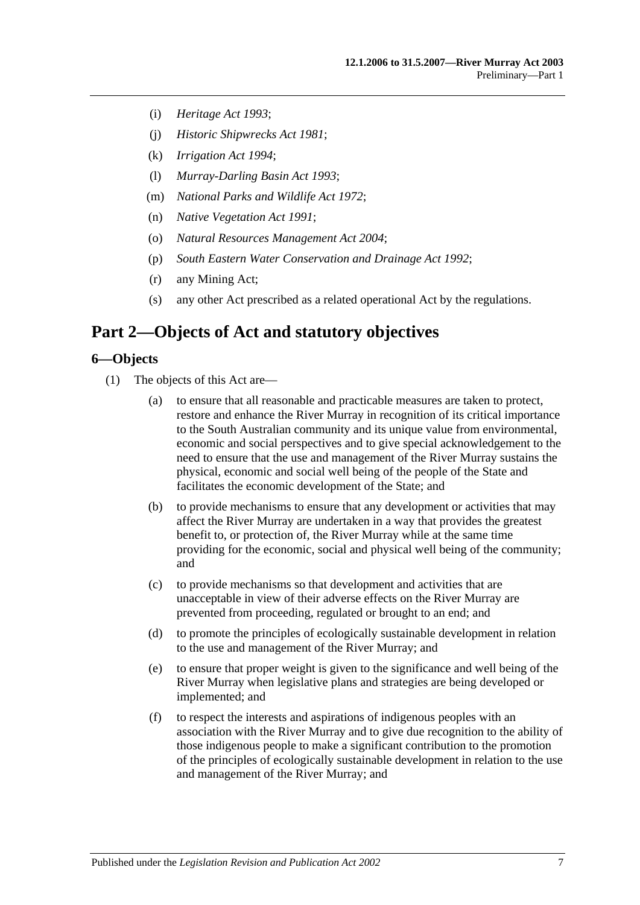- (i) *[Heritage Act](http://www.legislation.sa.gov.au/index.aspx?action=legref&type=act&legtitle=Heritage%20Act%201993) 1993*;
- (j) *[Historic Shipwrecks Act](http://www.legislation.sa.gov.au/index.aspx?action=legref&type=act&legtitle=Historic%20Shipwrecks%20Act%201981) 1981*;
- (k) *[Irrigation Act](http://www.legislation.sa.gov.au/index.aspx?action=legref&type=act&legtitle=Irrigation%20Act%201994) 1994*;
- (l) *[Murray-Darling Basin Act](http://www.legislation.sa.gov.au/index.aspx?action=legref&type=act&legtitle=Murray-Darling%20Basin%20Act%201993) 1993*;
- (m) *[National Parks and Wildlife Act](http://www.legislation.sa.gov.au/index.aspx?action=legref&type=act&legtitle=National%20Parks%20and%20Wildlife%20Act%201972) 1972*;
- (n) *[Native Vegetation Act](http://www.legislation.sa.gov.au/index.aspx?action=legref&type=act&legtitle=Native%20Vegetation%20Act%201991) 1991*;
- (o) *[Natural Resources Management Act](http://www.legislation.sa.gov.au/index.aspx?action=legref&type=act&legtitle=Natural%20Resources%20Management%20Act%202004) 2004*;
- (p) *[South Eastern Water Conservation and Drainage Act](http://www.legislation.sa.gov.au/index.aspx?action=legref&type=act&legtitle=South%20Eastern%20Water%20Conservation%20and%20Drainage%20Act%201992) 1992*;
- (r) any Mining Act;
- (s) any other Act prescribed as a related operational Act by the regulations.

# <span id="page-6-0"></span>**Part 2—Objects of Act and statutory objectives**

#### <span id="page-6-1"></span>**6—Objects**

- (1) The objects of this Act are—
	- (a) to ensure that all reasonable and practicable measures are taken to protect, restore and enhance the River Murray in recognition of its critical importance to the South Australian community and its unique value from environmental, economic and social perspectives and to give special acknowledgement to the need to ensure that the use and management of the River Murray sustains the physical, economic and social well being of the people of the State and facilitates the economic development of the State; and
	- (b) to provide mechanisms to ensure that any development or activities that may affect the River Murray are undertaken in a way that provides the greatest benefit to, or protection of, the River Murray while at the same time providing for the economic, social and physical well being of the community; and
	- (c) to provide mechanisms so that development and activities that are unacceptable in view of their adverse effects on the River Murray are prevented from proceeding, regulated or brought to an end; and
	- (d) to promote the principles of ecologically sustainable development in relation to the use and management of the River Murray; and
	- (e) to ensure that proper weight is given to the significance and well being of the River Murray when legislative plans and strategies are being developed or implemented; and
	- (f) to respect the interests and aspirations of indigenous peoples with an association with the River Murray and to give due recognition to the ability of those indigenous people to make a significant contribution to the promotion of the principles of ecologically sustainable development in relation to the use and management of the River Murray; and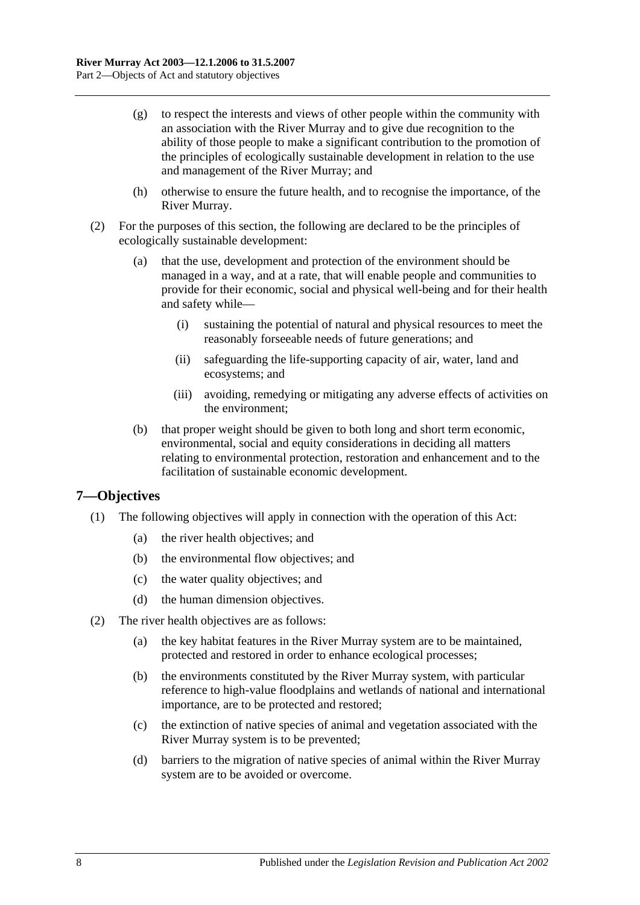- (g) to respect the interests and views of other people within the community with an association with the River Murray and to give due recognition to the ability of those people to make a significant contribution to the promotion of the principles of ecologically sustainable development in relation to the use and management of the River Murray; and
- (h) otherwise to ensure the future health, and to recognise the importance, of the River Murray.
- (2) For the purposes of this section, the following are declared to be the principles of ecologically sustainable development:
	- (a) that the use, development and protection of the environment should be managed in a way, and at a rate, that will enable people and communities to provide for their economic, social and physical well-being and for their health and safety while—
		- (i) sustaining the potential of natural and physical resources to meet the reasonably forseeable needs of future generations; and
		- (ii) safeguarding the life-supporting capacity of air, water, land and ecosystems; and
		- (iii) avoiding, remedying or mitigating any adverse effects of activities on the environment;
	- (b) that proper weight should be given to both long and short term economic, environmental, social and equity considerations in deciding all matters relating to environmental protection, restoration and enhancement and to the facilitation of sustainable economic development.

### <span id="page-7-0"></span>**7—Objectives**

- (1) The following objectives will apply in connection with the operation of this Act:
	- (a) the river health objectives; and
	- (b) the environmental flow objectives; and
	- (c) the water quality objectives; and
	- (d) the human dimension objectives.
- (2) The river health objectives are as follows:
	- (a) the key habitat features in the River Murray system are to be maintained, protected and restored in order to enhance ecological processes;
	- (b) the environments constituted by the River Murray system, with particular reference to high-value floodplains and wetlands of national and international importance, are to be protected and restored;
	- (c) the extinction of native species of animal and vegetation associated with the River Murray system is to be prevented;
	- (d) barriers to the migration of native species of animal within the River Murray system are to be avoided or overcome.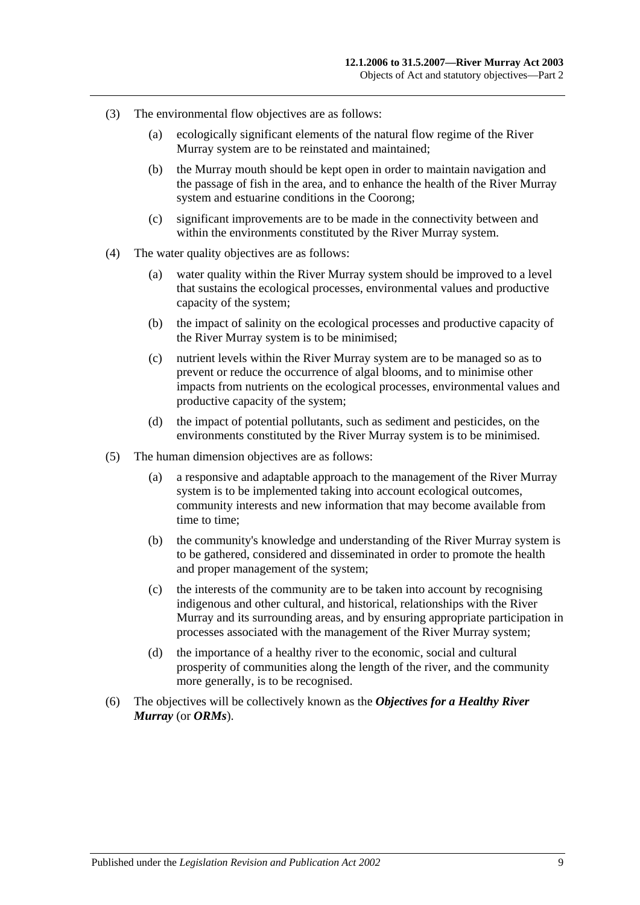- (3) The environmental flow objectives are as follows:
	- (a) ecologically significant elements of the natural flow regime of the River Murray system are to be reinstated and maintained;
	- (b) the Murray mouth should be kept open in order to maintain navigation and the passage of fish in the area, and to enhance the health of the River Murray system and estuarine conditions in the Coorong;
	- (c) significant improvements are to be made in the connectivity between and within the environments constituted by the River Murray system.
- (4) The water quality objectives are as follows:
	- (a) water quality within the River Murray system should be improved to a level that sustains the ecological processes, environmental values and productive capacity of the system;
	- (b) the impact of salinity on the ecological processes and productive capacity of the River Murray system is to be minimised;
	- (c) nutrient levels within the River Murray system are to be managed so as to prevent or reduce the occurrence of algal blooms, and to minimise other impacts from nutrients on the ecological processes, environmental values and productive capacity of the system;
	- (d) the impact of potential pollutants, such as sediment and pesticides, on the environments constituted by the River Murray system is to be minimised.
- (5) The human dimension objectives are as follows:
	- (a) a responsive and adaptable approach to the management of the River Murray system is to be implemented taking into account ecological outcomes, community interests and new information that may become available from time to time;
	- (b) the community's knowledge and understanding of the River Murray system is to be gathered, considered and disseminated in order to promote the health and proper management of the system;
	- (c) the interests of the community are to be taken into account by recognising indigenous and other cultural, and historical, relationships with the River Murray and its surrounding areas, and by ensuring appropriate participation in processes associated with the management of the River Murray system;
	- (d) the importance of a healthy river to the economic, social and cultural prosperity of communities along the length of the river, and the community more generally, is to be recognised.
- (6) The objectives will be collectively known as the *Objectives for a Healthy River Murray* (or *ORMs*).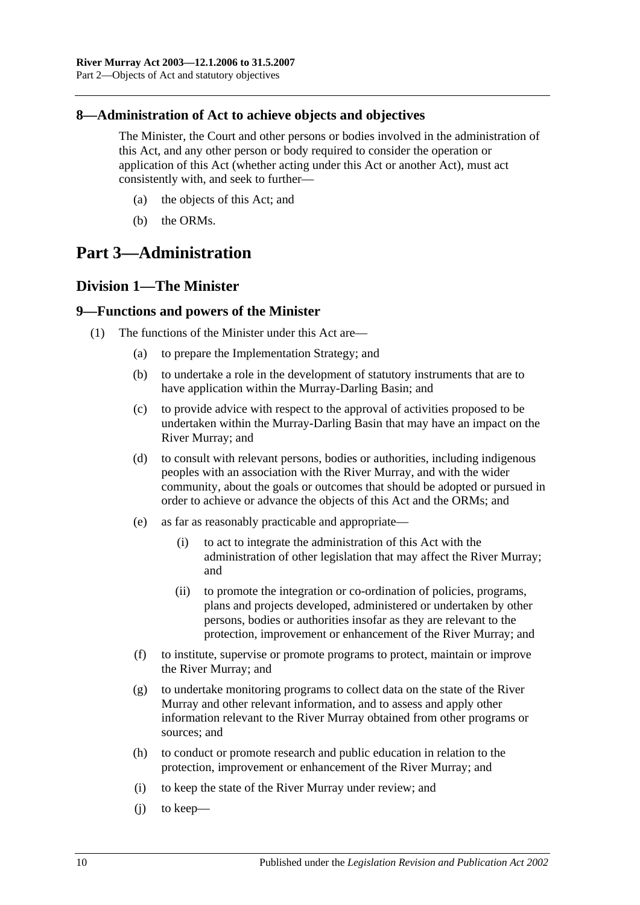### <span id="page-9-0"></span>**8—Administration of Act to achieve objects and objectives**

The Minister, the Court and other persons or bodies involved in the administration of this Act, and any other person or body required to consider the operation or application of this Act (whether acting under this Act or another Act), must act consistently with, and seek to further—

- (a) the objects of this Act; and
- (b) the ORMs.

# <span id="page-9-1"></span>**Part 3—Administration**

### <span id="page-9-2"></span>**Division 1—The Minister**

#### <span id="page-9-3"></span>**9—Functions and powers of the Minister**

- <span id="page-9-4"></span>(1) The functions of the Minister under this Act are—
	- (a) to prepare the Implementation Strategy; and
	- (b) to undertake a role in the development of statutory instruments that are to have application within the Murray-Darling Basin; and
	- (c) to provide advice with respect to the approval of activities proposed to be undertaken within the Murray-Darling Basin that may have an impact on the River Murray; and
	- (d) to consult with relevant persons, bodies or authorities, including indigenous peoples with an association with the River Murray, and with the wider community, about the goals or outcomes that should be adopted or pursued in order to achieve or advance the objects of this Act and the ORMs; and
	- (e) as far as reasonably practicable and appropriate—
		- (i) to act to integrate the administration of this Act with the administration of other legislation that may affect the River Murray; and
		- (ii) to promote the integration or co-ordination of policies, programs, plans and projects developed, administered or undertaken by other persons, bodies or authorities insofar as they are relevant to the protection, improvement or enhancement of the River Murray; and
	- (f) to institute, supervise or promote programs to protect, maintain or improve the River Murray; and
	- (g) to undertake monitoring programs to collect data on the state of the River Murray and other relevant information, and to assess and apply other information relevant to the River Murray obtained from other programs or sources; and
	- (h) to conduct or promote research and public education in relation to the protection, improvement or enhancement of the River Murray; and
	- (i) to keep the state of the River Murray under review; and
	- (j) to keep—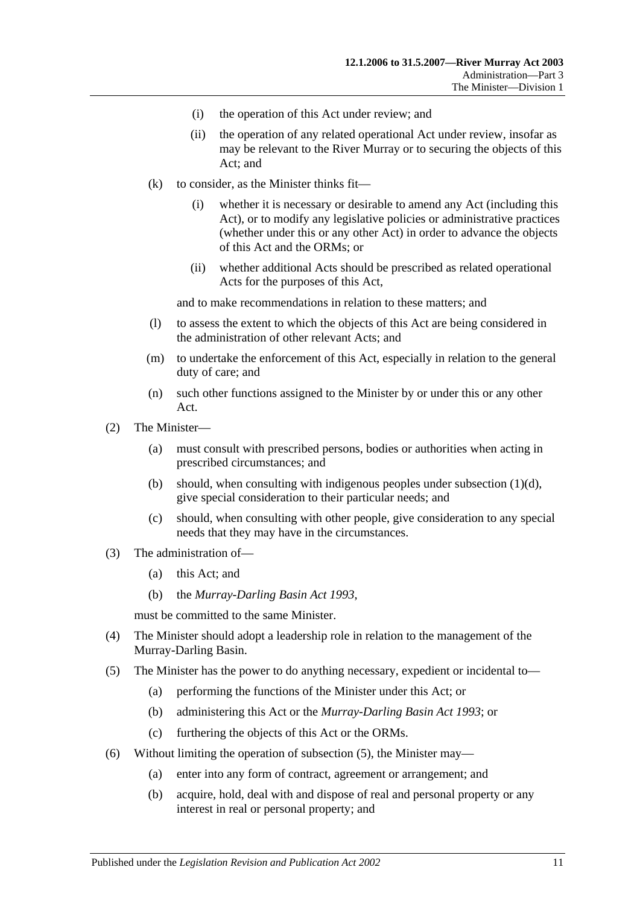- (i) the operation of this Act under review; and
- (ii) the operation of any related operational Act under review, insofar as may be relevant to the River Murray or to securing the objects of this Act; and
- $(k)$  to consider, as the Minister thinks fit—
	- (i) whether it is necessary or desirable to amend any Act (including this Act), or to modify any legislative policies or administrative practices (whether under this or any other Act) in order to advance the objects of this Act and the ORMs; or
	- (ii) whether additional Acts should be prescribed as related operational Acts for the purposes of this Act,

and to make recommendations in relation to these matters; and

- (l) to assess the extent to which the objects of this Act are being considered in the administration of other relevant Acts; and
- (m) to undertake the enforcement of this Act, especially in relation to the general duty of care; and
- (n) such other functions assigned to the Minister by or under this or any other Act.
- (2) The Minister—
	- (a) must consult with prescribed persons, bodies or authorities when acting in prescribed circumstances; and
	- (b) should, when consulting with indigenous peoples under [subsection](#page-9-4)  $(1)(d)$ , give special consideration to their particular needs; and
	- (c) should, when consulting with other people, give consideration to any special needs that they may have in the circumstances.
- (3) The administration of—
	- (a) this Act; and
	- (b) the *[Murray-Darling Basin Act](http://www.legislation.sa.gov.au/index.aspx?action=legref&type=act&legtitle=Murray-Darling%20Basin%20Act%201993) 1993*,

must be committed to the same Minister.

- (4) The Minister should adopt a leadership role in relation to the management of the Murray-Darling Basin.
- <span id="page-10-0"></span>(5) The Minister has the power to do anything necessary, expedient or incidental to—
	- (a) performing the functions of the Minister under this Act; or
	- (b) administering this Act or the *[Murray-Darling Basin Act](http://www.legislation.sa.gov.au/index.aspx?action=legref&type=act&legtitle=Murray-Darling%20Basin%20Act%201993) 1993*; or
	- (c) furthering the objects of this Act or the ORMs.
- (6) Without limiting the operation of [subsection](#page-10-0) (5), the Minister may—
	- (a) enter into any form of contract, agreement or arrangement; and
	- (b) acquire, hold, deal with and dispose of real and personal property or any interest in real or personal property; and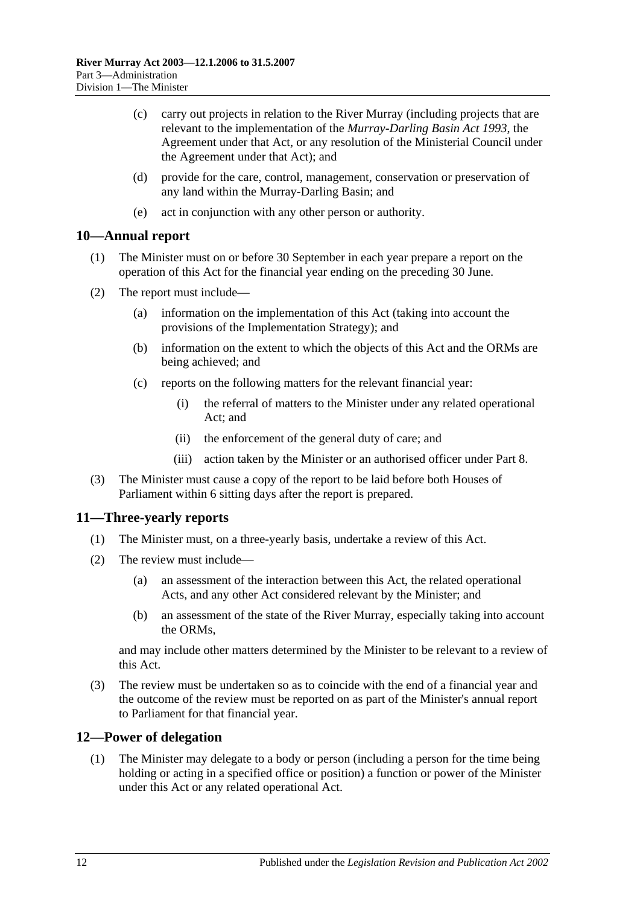- (c) carry out projects in relation to the River Murray (including projects that are relevant to the implementation of the *[Murray-Darling Basin Act](http://www.legislation.sa.gov.au/index.aspx?action=legref&type=act&legtitle=Murray-Darling%20Basin%20Act%201993) 1993*, the Agreement under that Act, or any resolution of the Ministerial Council under the Agreement under that Act); and
- (d) provide for the care, control, management, conservation or preservation of any land within the Murray-Darling Basin; and
- (e) act in conjunction with any other person or authority.

#### <span id="page-11-0"></span>**10—Annual report**

- (1) The Minister must on or before 30 September in each year prepare a report on the operation of this Act for the financial year ending on the preceding 30 June.
- (2) The report must include—
	- (a) information on the implementation of this Act (taking into account the provisions of the Implementation Strategy); and
	- (b) information on the extent to which the objects of this Act and the ORMs are being achieved; and
	- (c) reports on the following matters for the relevant financial year:
		- (i) the referral of matters to the Minister under any related operational Act; and
		- (ii) the enforcement of the general duty of care; and
		- (iii) action taken by the Minister or an authorised officer under [Part 8.](#page-24-0)
- (3) The Minister must cause a copy of the report to be laid before both Houses of Parliament within 6 sitting days after the report is prepared.

### <span id="page-11-1"></span>**11—Three-yearly reports**

- (1) The Minister must, on a three-yearly basis, undertake a review of this Act.
- (2) The review must include—
	- (a) an assessment of the interaction between this Act, the related operational Acts, and any other Act considered relevant by the Minister; and
	- (b) an assessment of the state of the River Murray, especially taking into account the ORMs,

and may include other matters determined by the Minister to be relevant to a review of this Act.

(3) The review must be undertaken so as to coincide with the end of a financial year and the outcome of the review must be reported on as part of the Minister's annual report to Parliament for that financial year.

### <span id="page-11-2"></span>**12—Power of delegation**

(1) The Minister may delegate to a body or person (including a person for the time being holding or acting in a specified office or position) a function or power of the Minister under this Act or any related operational Act.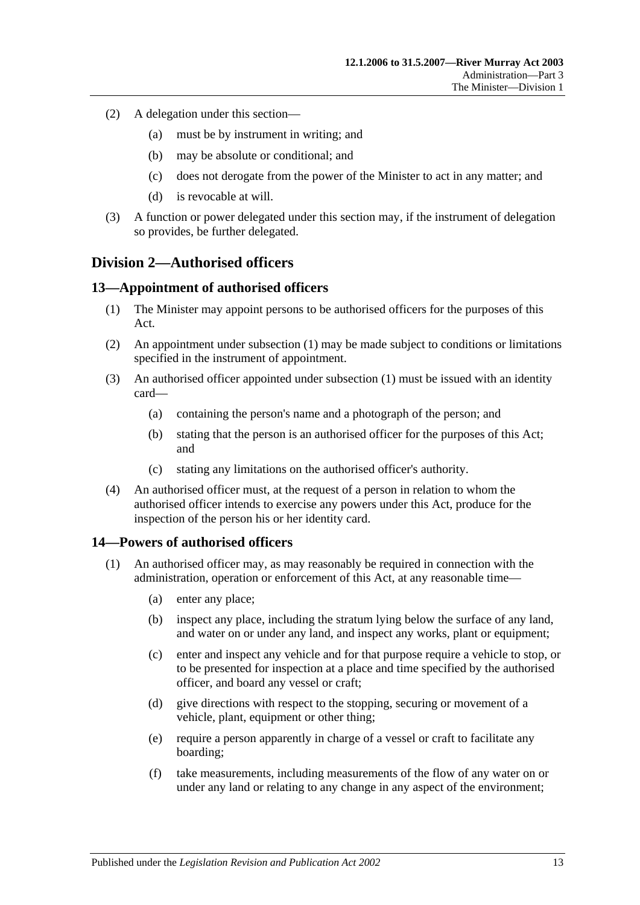- (2) A delegation under this section—
	- (a) must be by instrument in writing; and
	- (b) may be absolute or conditional; and
	- (c) does not derogate from the power of the Minister to act in any matter; and
	- (d) is revocable at will.
- (3) A function or power delegated under this section may, if the instrument of delegation so provides, be further delegated.

### <span id="page-12-0"></span>**Division 2—Authorised officers**

#### <span id="page-12-3"></span><span id="page-12-1"></span>**13—Appointment of authorised officers**

- (1) The Minister may appoint persons to be authorised officers for the purposes of this Act.
- (2) An appointment under [subsection](#page-12-3) (1) may be made subject to conditions or limitations specified in the instrument of appointment.
- (3) An authorised officer appointed under [subsection](#page-12-3) (1) must be issued with an identity card—
	- (a) containing the person's name and a photograph of the person; and
	- (b) stating that the person is an authorised officer for the purposes of this Act; and
	- (c) stating any limitations on the authorised officer's authority.
- (4) An authorised officer must, at the request of a person in relation to whom the authorised officer intends to exercise any powers under this Act, produce for the inspection of the person his or her identity card.

#### <span id="page-12-4"></span><span id="page-12-2"></span>**14—Powers of authorised officers**

- (1) An authorised officer may, as may reasonably be required in connection with the administration, operation or enforcement of this Act, at any reasonable time—
	- (a) enter any place;
	- (b) inspect any place, including the stratum lying below the surface of any land, and water on or under any land, and inspect any works, plant or equipment;
	- (c) enter and inspect any vehicle and for that purpose require a vehicle to stop, or to be presented for inspection at a place and time specified by the authorised officer, and board any vessel or craft;
	- (d) give directions with respect to the stopping, securing or movement of a vehicle, plant, equipment or other thing;
	- (e) require a person apparently in charge of a vessel or craft to facilitate any boarding;
	- (f) take measurements, including measurements of the flow of any water on or under any land or relating to any change in any aspect of the environment;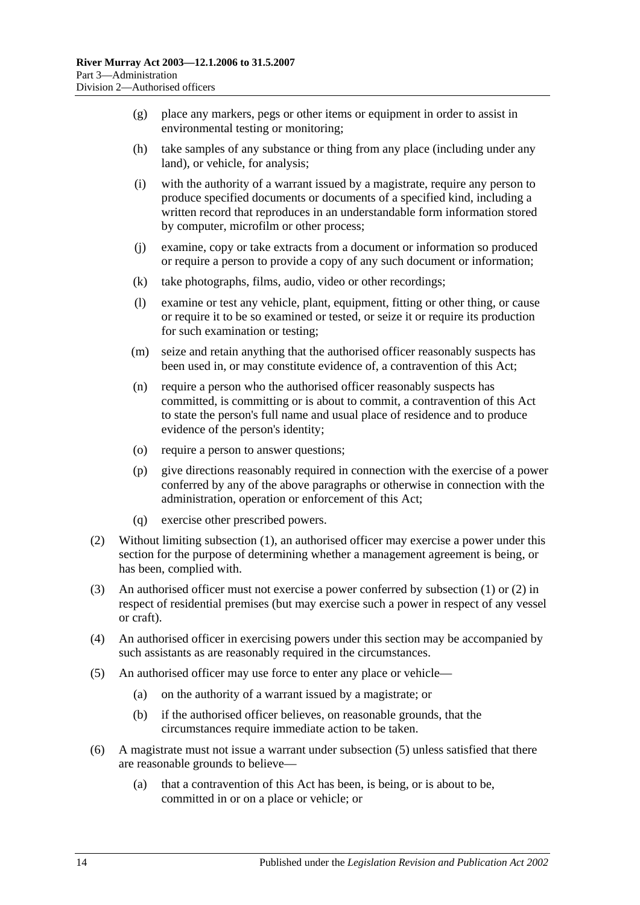- <span id="page-13-2"></span>(g) place any markers, pegs or other items or equipment in order to assist in environmental testing or monitoring;
- (h) take samples of any substance or thing from any place (including under any land), or vehicle, for analysis;
- (i) with the authority of a warrant issued by a magistrate, require any person to produce specified documents or documents of a specified kind, including a written record that reproduces in an understandable form information stored by computer, microfilm or other process;
- (j) examine, copy or take extracts from a document or information so produced or require a person to provide a copy of any such document or information;
- (k) take photographs, films, audio, video or other recordings;
- (l) examine or test any vehicle, plant, equipment, fitting or other thing, or cause or require it to be so examined or tested, or seize it or require its production for such examination or testing;
- (m) seize and retain anything that the authorised officer reasonably suspects has been used in, or may constitute evidence of, a contravention of this Act;
- (n) require a person who the authorised officer reasonably suspects has committed, is committing or is about to commit, a contravention of this Act to state the person's full name and usual place of residence and to produce evidence of the person's identity;
- (o) require a person to answer questions;
- (p) give directions reasonably required in connection with the exercise of a power conferred by any of the above paragraphs or otherwise in connection with the administration, operation or enforcement of this Act;
- (q) exercise other prescribed powers.
- <span id="page-13-0"></span>(2) Without limiting [subsection](#page-12-4) (1), an authorised officer may exercise a power under this section for the purpose of determining whether a management agreement is being, or has been, complied with.
- (3) An authorised officer must not exercise a power conferred by [subsection](#page-12-4) (1) or [\(2\)](#page-13-0) in respect of residential premises (but may exercise such a power in respect of any vessel or craft).
- (4) An authorised officer in exercising powers under this section may be accompanied by such assistants as are reasonably required in the circumstances.
- <span id="page-13-1"></span>(5) An authorised officer may use force to enter any place or vehicle—
	- (a) on the authority of a warrant issued by a magistrate; or
	- (b) if the authorised officer believes, on reasonable grounds, that the circumstances require immediate action to be taken.
- (6) A magistrate must not issue a warrant under [subsection](#page-13-1) (5) unless satisfied that there are reasonable grounds to believe—
	- (a) that a contravention of this Act has been, is being, or is about to be, committed in or on a place or vehicle; or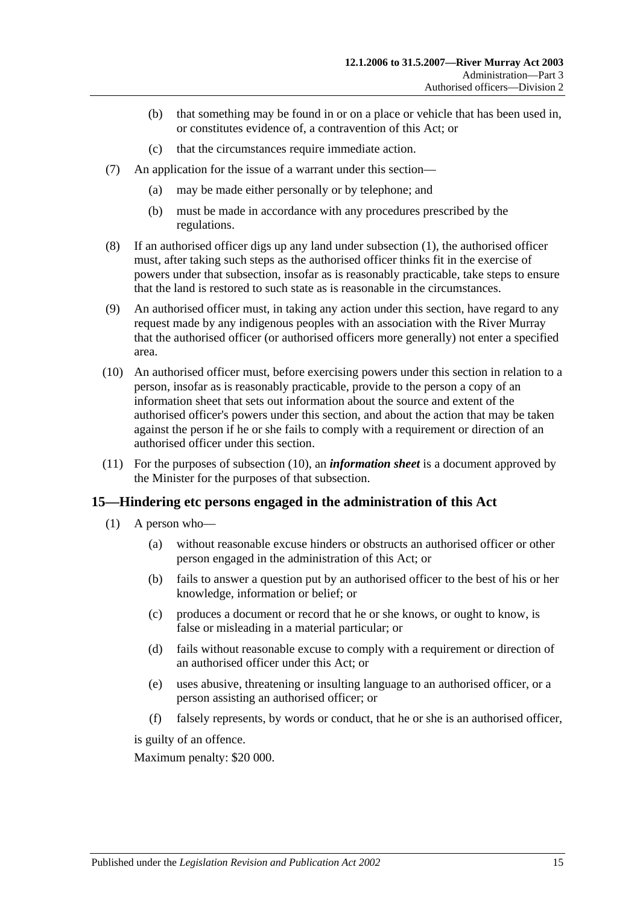- (b) that something may be found in or on a place or vehicle that has been used in, or constitutes evidence of, a contravention of this Act; or
- (c) that the circumstances require immediate action.
- (7) An application for the issue of a warrant under this section—
	- (a) may be made either personally or by telephone; and
	- (b) must be made in accordance with any procedures prescribed by the regulations.
- (8) If an authorised officer digs up any land under [subsection](#page-12-4) (1), the authorised officer must, after taking such steps as the authorised officer thinks fit in the exercise of powers under that subsection, insofar as is reasonably practicable, take steps to ensure that the land is restored to such state as is reasonable in the circumstances.
- (9) An authorised officer must, in taking any action under this section, have regard to any request made by any indigenous peoples with an association with the River Murray that the authorised officer (or authorised officers more generally) not enter a specified area.
- <span id="page-14-1"></span>(10) An authorised officer must, before exercising powers under this section in relation to a person, insofar as is reasonably practicable, provide to the person a copy of an information sheet that sets out information about the source and extent of the authorised officer's powers under this section, and about the action that may be taken against the person if he or she fails to comply with a requirement or direction of an authorised officer under this section.
- (11) For the purposes of [subsection](#page-14-1) (10), an *information sheet* is a document approved by the Minister for the purposes of that subsection.

#### <span id="page-14-0"></span>**15—Hindering etc persons engaged in the administration of this Act**

- (1) A person who—
	- (a) without reasonable excuse hinders or obstructs an authorised officer or other person engaged in the administration of this Act; or
	- (b) fails to answer a question put by an authorised officer to the best of his or her knowledge, information or belief; or
	- (c) produces a document or record that he or she knows, or ought to know, is false or misleading in a material particular; or
	- (d) fails without reasonable excuse to comply with a requirement or direction of an authorised officer under this Act; or
	- (e) uses abusive, threatening or insulting language to an authorised officer, or a person assisting an authorised officer; or
	- (f) falsely represents, by words or conduct, that he or she is an authorised officer,

is guilty of an offence.

Maximum penalty: \$20 000.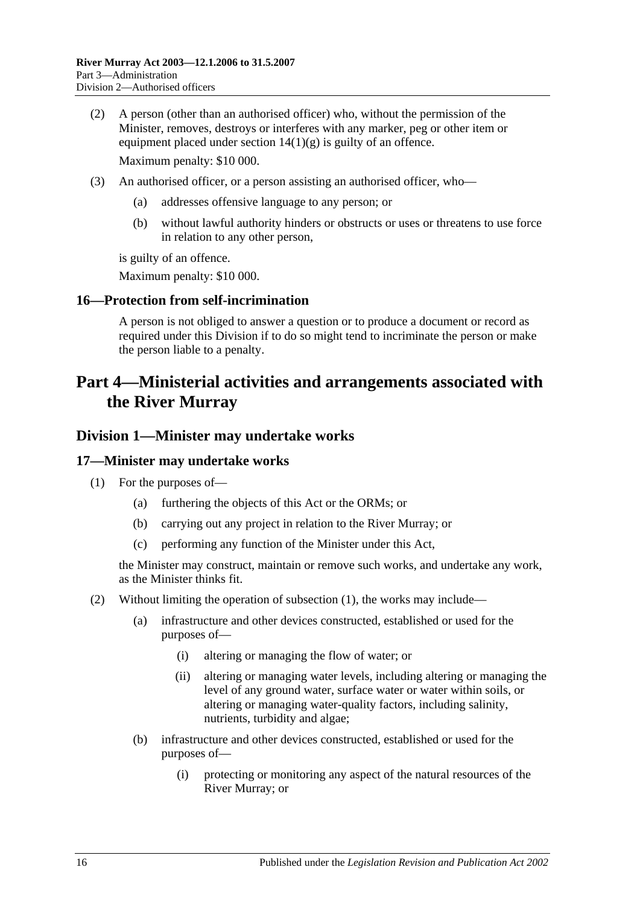- (2) A person (other than an authorised officer) who, without the permission of the Minister, removes, destroys or interferes with any marker, peg or other item or equipment placed under section  $14(1)(g)$  is guilty of an offence. Maximum penalty: \$10 000.
- (3) An authorised officer, or a person assisting an authorised officer, who—
	- (a) addresses offensive language to any person; or
	- (b) without lawful authority hinders or obstructs or uses or threatens to use force in relation to any other person,

is guilty of an offence.

Maximum penalty: \$10 000.

#### <span id="page-15-0"></span>**16—Protection from self-incrimination**

A person is not obliged to answer a question or to produce a document or record as required under this Division if to do so might tend to incriminate the person or make the person liable to a penalty.

# <span id="page-15-1"></span>**Part 4—Ministerial activities and arrangements associated with the River Murray**

#### <span id="page-15-2"></span>**Division 1—Minister may undertake works**

#### <span id="page-15-4"></span><span id="page-15-3"></span>**17—Minister may undertake works**

- (1) For the purposes of—
	- (a) furthering the objects of this Act or the ORMs; or
	- (b) carrying out any project in relation to the River Murray; or
	- (c) performing any function of the Minister under this Act,

the Minister may construct, maintain or remove such works, and undertake any work, as the Minister thinks fit.

- <span id="page-15-5"></span>(2) Without limiting the operation of [subsection](#page-15-4) (1), the works may include—
	- (a) infrastructure and other devices constructed, established or used for the purposes of—
		- (i) altering or managing the flow of water; or
		- (ii) altering or managing water levels, including altering or managing the level of any ground water, surface water or water within soils, or altering or managing water-quality factors, including salinity, nutrients, turbidity and algae;
	- (b) infrastructure and other devices constructed, established or used for the purposes of—
		- (i) protecting or monitoring any aspect of the natural resources of the River Murray; or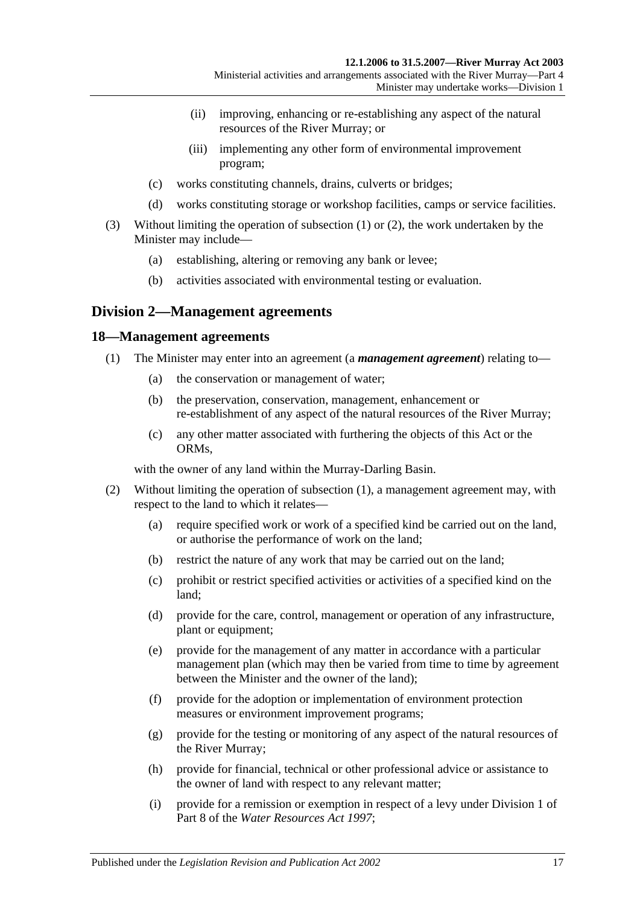- (ii) improving, enhancing or re-establishing any aspect of the natural resources of the River Murray; or
- (iii) implementing any other form of environmental improvement program;
- (c) works constituting channels, drains, culverts or bridges;
- (d) works constituting storage or workshop facilities, camps or service facilities.
- (3) Without limiting the operation of [subsection](#page-15-4) (1) or [\(2\),](#page-15-5) the work undertaken by the Minister may include—
	- (a) establishing, altering or removing any bank or levee;
	- (b) activities associated with environmental testing or evaluation.

### <span id="page-16-0"></span>**Division 2—Management agreements**

#### <span id="page-16-2"></span><span id="page-16-1"></span>**18—Management agreements**

- (1) The Minister may enter into an agreement (a *management agreement*) relating to—
	- (a) the conservation or management of water;
	- (b) the preservation, conservation, management, enhancement or re-establishment of any aspect of the natural resources of the River Murray;
	- (c) any other matter associated with furthering the objects of this Act or the ORMs,

with the owner of any land within the Murray-Darling Basin.

- <span id="page-16-3"></span>(2) Without limiting the operation of [subsection](#page-16-2) (1), a management agreement may, with respect to the land to which it relates—
	- (a) require specified work or work of a specified kind be carried out on the land, or authorise the performance of work on the land;
	- (b) restrict the nature of any work that may be carried out on the land;
	- (c) prohibit or restrict specified activities or activities of a specified kind on the land;
	- (d) provide for the care, control, management or operation of any infrastructure, plant or equipment;
	- (e) provide for the management of any matter in accordance with a particular management plan (which may then be varied from time to time by agreement between the Minister and the owner of the land);
	- (f) provide for the adoption or implementation of environment protection measures or environment improvement programs;
	- (g) provide for the testing or monitoring of any aspect of the natural resources of the River Murray;
	- (h) provide for financial, technical or other professional advice or assistance to the owner of land with respect to any relevant matter;
	- (i) provide for a remission or exemption in respect of a levy under Division 1 of Part 8 of the *[Water Resources Act](http://www.legislation.sa.gov.au/index.aspx?action=legref&type=act&legtitle=Water%20Resources%20Act%201997) 1997*;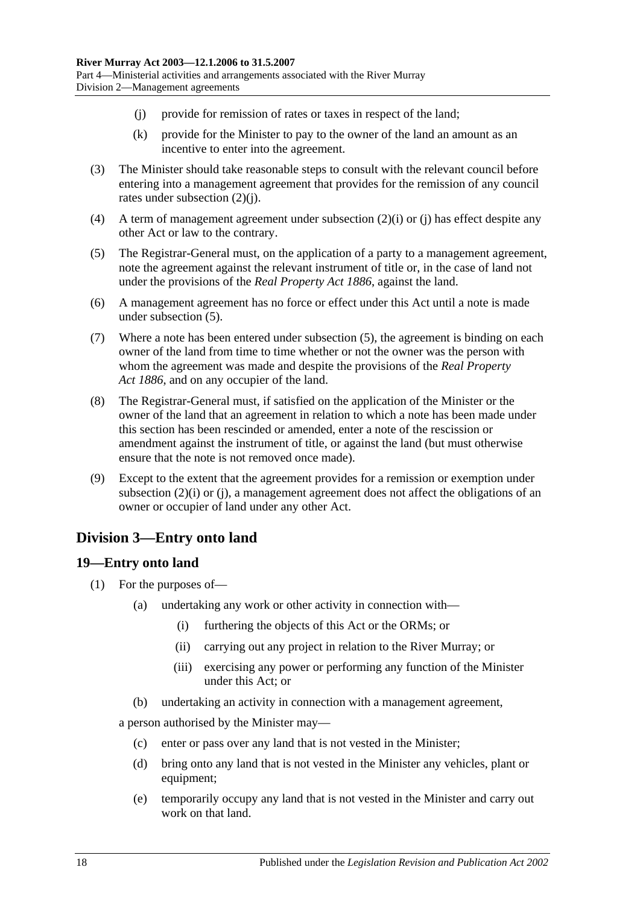- <span id="page-17-2"></span>(j) provide for remission of rates or taxes in respect of the land;
- (k) provide for the Minister to pay to the owner of the land an amount as an incentive to enter into the agreement.
- (3) The Minister should take reasonable steps to consult with the relevant council before entering into a management agreement that provides for the remission of any council rates under [subsection](#page-17-2) (2)(j).
- (4) A term of management agreement under [subsection](#page-16-3) (2)(i) or [\(j\)](#page-17-2) has effect despite any other Act or law to the contrary.
- <span id="page-17-3"></span>(5) The Registrar-General must, on the application of a party to a management agreement, note the agreement against the relevant instrument of title or, in the case of land not under the provisions of the *[Real Property Act](http://www.legislation.sa.gov.au/index.aspx?action=legref&type=act&legtitle=Real%20Property%20Act%201886) 1886*, against the land.
- (6) A management agreement has no force or effect under this Act until a note is made under [subsection](#page-17-3) (5).
- (7) Where a note has been entered under [subsection](#page-17-3) (5), the agreement is binding on each owner of the land from time to time whether or not the owner was the person with whom the agreement was made and despite the provisions of the *[Real Property](http://www.legislation.sa.gov.au/index.aspx?action=legref&type=act&legtitle=Real%20Property%20Act%201886)  Act [1886](http://www.legislation.sa.gov.au/index.aspx?action=legref&type=act&legtitle=Real%20Property%20Act%201886)*, and on any occupier of the land.
- (8) The Registrar-General must, if satisfied on the application of the Minister or the owner of the land that an agreement in relation to which a note has been made under this section has been rescinded or amended, enter a note of the rescission or amendment against the instrument of title, or against the land (but must otherwise ensure that the note is not removed once made).
- (9) Except to the extent that the agreement provides for a remission or exemption under [subsection](#page-16-3) (2)(i) or [\(j\),](#page-17-2) a management agreement does not affect the obligations of an owner or occupier of land under any other Act.

### <span id="page-17-0"></span>**Division 3—Entry onto land**

### <span id="page-17-4"></span><span id="page-17-1"></span>**19—Entry onto land**

- (1) For the purposes of—
	- (a) undertaking any work or other activity in connection with—
		- (i) furthering the objects of this Act or the ORMs; or
		- (ii) carrying out any project in relation to the River Murray; or
		- (iii) exercising any power or performing any function of the Minister under this Act; or
	- (b) undertaking an activity in connection with a management agreement,

a person authorised by the Minister may—

- (c) enter or pass over any land that is not vested in the Minister;
- (d) bring onto any land that is not vested in the Minister any vehicles, plant or equipment;
- (e) temporarily occupy any land that is not vested in the Minister and carry out work on that land.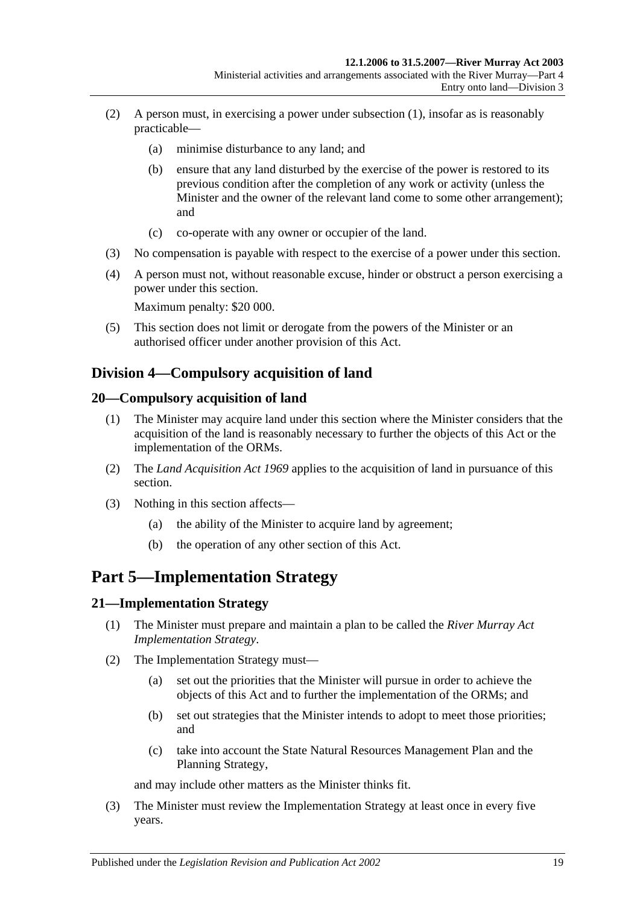- (2) A person must, in exercising a power under [subsection](#page-17-4) (1), insofar as is reasonably practicable—
	- (a) minimise disturbance to any land; and
	- (b) ensure that any land disturbed by the exercise of the power is restored to its previous condition after the completion of any work or activity (unless the Minister and the owner of the relevant land come to some other arrangement); and
	- (c) co-operate with any owner or occupier of the land.
- (3) No compensation is payable with respect to the exercise of a power under this section.
- (4) A person must not, without reasonable excuse, hinder or obstruct a person exercising a power under this section.

Maximum penalty: \$20 000.

(5) This section does not limit or derogate from the powers of the Minister or an authorised officer under another provision of this Act.

### <span id="page-18-0"></span>**Division 4—Compulsory acquisition of land**

### <span id="page-18-1"></span>**20—Compulsory acquisition of land**

- (1) The Minister may acquire land under this section where the Minister considers that the acquisition of the land is reasonably necessary to further the objects of this Act or the implementation of the ORMs.
- (2) The *[Land Acquisition Act](http://www.legislation.sa.gov.au/index.aspx?action=legref&type=act&legtitle=Land%20Acquisition%20Act%201969) 1969* applies to the acquisition of land in pursuance of this section.
- (3) Nothing in this section affects—
	- (a) the ability of the Minister to acquire land by agreement;
	- (b) the operation of any other section of this Act.

# <span id="page-18-2"></span>**Part 5—Implementation Strategy**

### <span id="page-18-3"></span>**21—Implementation Strategy**

- (1) The Minister must prepare and maintain a plan to be called the *River Murray Act Implementation Strategy*.
- (2) The Implementation Strategy must—
	- (a) set out the priorities that the Minister will pursue in order to achieve the objects of this Act and to further the implementation of the ORMs; and
	- (b) set out strategies that the Minister intends to adopt to meet those priorities; and
	- (c) take into account the State Natural Resources Management Plan and the Planning Strategy,

and may include other matters as the Minister thinks fit.

(3) The Minister must review the Implementation Strategy at least once in every five years.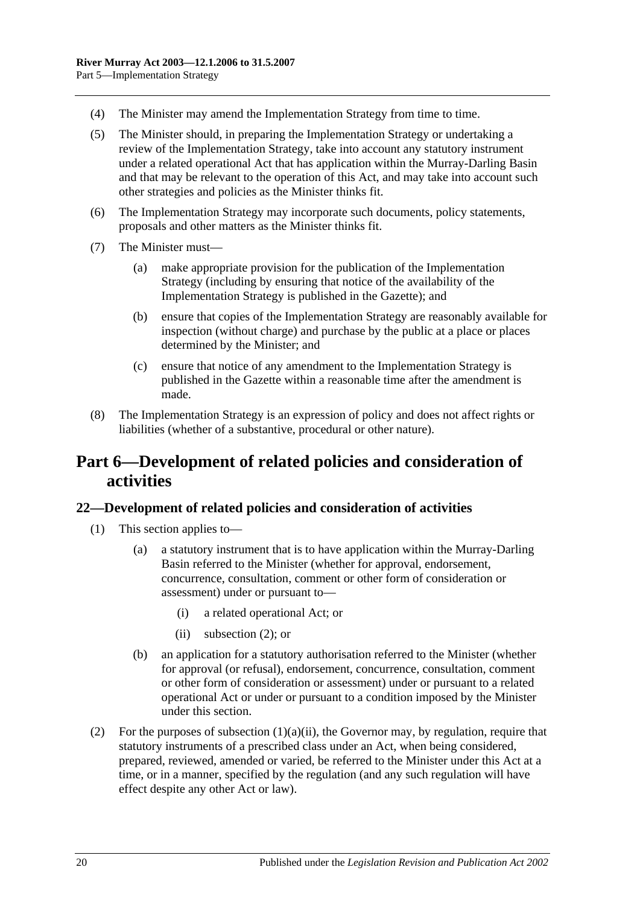- (4) The Minister may amend the Implementation Strategy from time to time.
- (5) The Minister should, in preparing the Implementation Strategy or undertaking a review of the Implementation Strategy, take into account any statutory instrument under a related operational Act that has application within the Murray-Darling Basin and that may be relevant to the operation of this Act, and may take into account such other strategies and policies as the Minister thinks fit.
- (6) The Implementation Strategy may incorporate such documents, policy statements, proposals and other matters as the Minister thinks fit.
- (7) The Minister must—
	- (a) make appropriate provision for the publication of the Implementation Strategy (including by ensuring that notice of the availability of the Implementation Strategy is published in the Gazette); and
	- (b) ensure that copies of the Implementation Strategy are reasonably available for inspection (without charge) and purchase by the public at a place or places determined by the Minister; and
	- (c) ensure that notice of any amendment to the Implementation Strategy is published in the Gazette within a reasonable time after the amendment is made.
- (8) The Implementation Strategy is an expression of policy and does not affect rights or liabilities (whether of a substantive, procedural or other nature).

# <span id="page-19-0"></span>**Part 6—Development of related policies and consideration of activities**

### <span id="page-19-1"></span>**22—Development of related policies and consideration of activities**

- <span id="page-19-3"></span>(1) This section applies to—
	- (a) a statutory instrument that is to have application within the Murray-Darling Basin referred to the Minister (whether for approval, endorsement, concurrence, consultation, comment or other form of consideration or assessment) under or pursuant to—
		- (i) a related operational Act; or
		- (ii) [subsection](#page-19-2) (2); or
	- (b) an application for a statutory authorisation referred to the Minister (whether for approval (or refusal), endorsement, concurrence, consultation, comment or other form of consideration or assessment) under or pursuant to a related operational Act or under or pursuant to a condition imposed by the Minister under this section.
- <span id="page-19-2"></span>(2) For the purposes of [subsection](#page-19-3)  $(1)(a)(ii)$ , the Governor may, by regulation, require that statutory instruments of a prescribed class under an Act, when being considered, prepared, reviewed, amended or varied, be referred to the Minister under this Act at a time, or in a manner, specified by the regulation (and any such regulation will have effect despite any other Act or law).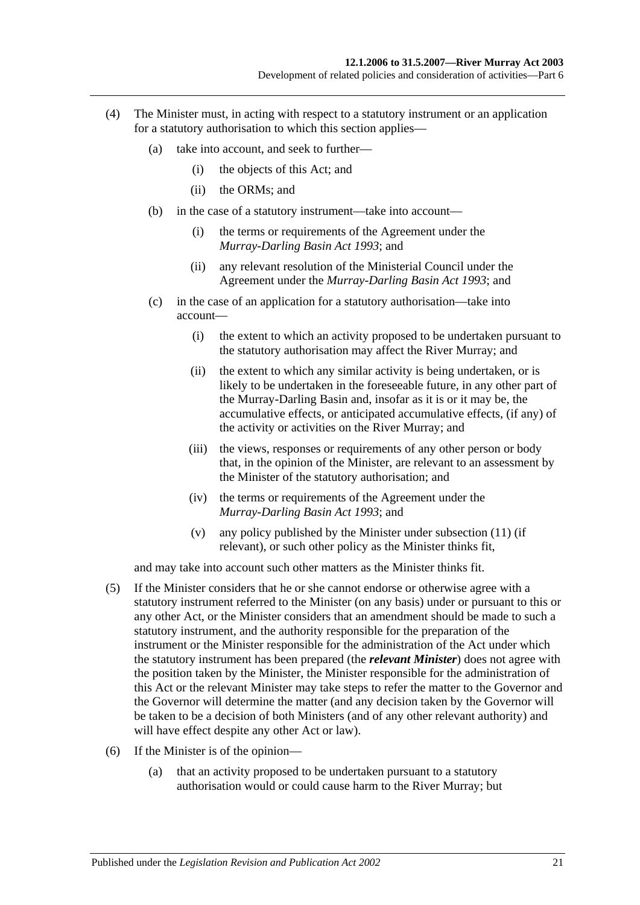- (4) The Minister must, in acting with respect to a statutory instrument or an application for a statutory authorisation to which this section applies—
	- (a) take into account, and seek to further—
		- (i) the objects of this Act; and
		- (ii) the ORMs; and
	- (b) in the case of a statutory instrument—take into account—
		- (i) the terms or requirements of the Agreement under the *[Murray-Darling Basin Act](http://www.legislation.sa.gov.au/index.aspx?action=legref&type=act&legtitle=Murray-Darling%20Basin%20Act%201993) 1993*; and
		- (ii) any relevant resolution of the Ministerial Council under the Agreement under the *[Murray-Darling Basin Act](http://www.legislation.sa.gov.au/index.aspx?action=legref&type=act&legtitle=Murray-Darling%20Basin%20Act%201993) 1993*; and
	- (c) in the case of an application for a statutory authorisation—take into account—
		- (i) the extent to which an activity proposed to be undertaken pursuant to the statutory authorisation may affect the River Murray; and
		- (ii) the extent to which any similar activity is being undertaken, or is likely to be undertaken in the foreseeable future, in any other part of the Murray-Darling Basin and, insofar as it is or it may be, the accumulative effects, or anticipated accumulative effects, (if any) of the activity or activities on the River Murray; and
		- (iii) the views, responses or requirements of any other person or body that, in the opinion of the Minister, are relevant to an assessment by the Minister of the statutory authorisation; and
		- (iv) the terms or requirements of the Agreement under the *[Murray-Darling Basin Act](http://www.legislation.sa.gov.au/index.aspx?action=legref&type=act&legtitle=Murray-Darling%20Basin%20Act%201993) 1993*; and
		- (v) any policy published by the Minister under [subsection](#page-22-0) (11) (if relevant), or such other policy as the Minister thinks fit,

and may take into account such other matters as the Minister thinks fit.

- (5) If the Minister considers that he or she cannot endorse or otherwise agree with a statutory instrument referred to the Minister (on any basis) under or pursuant to this or any other Act, or the Minister considers that an amendment should be made to such a statutory instrument, and the authority responsible for the preparation of the instrument or the Minister responsible for the administration of the Act under which the statutory instrument has been prepared (the *relevant Minister*) does not agree with the position taken by the Minister, the Minister responsible for the administration of this Act or the relevant Minister may take steps to refer the matter to the Governor and the Governor will determine the matter (and any decision taken by the Governor will be taken to be a decision of both Ministers (and of any other relevant authority) and will have effect despite any other Act or law).
- (6) If the Minister is of the opinion—
	- (a) that an activity proposed to be undertaken pursuant to a statutory authorisation would or could cause harm to the River Murray; but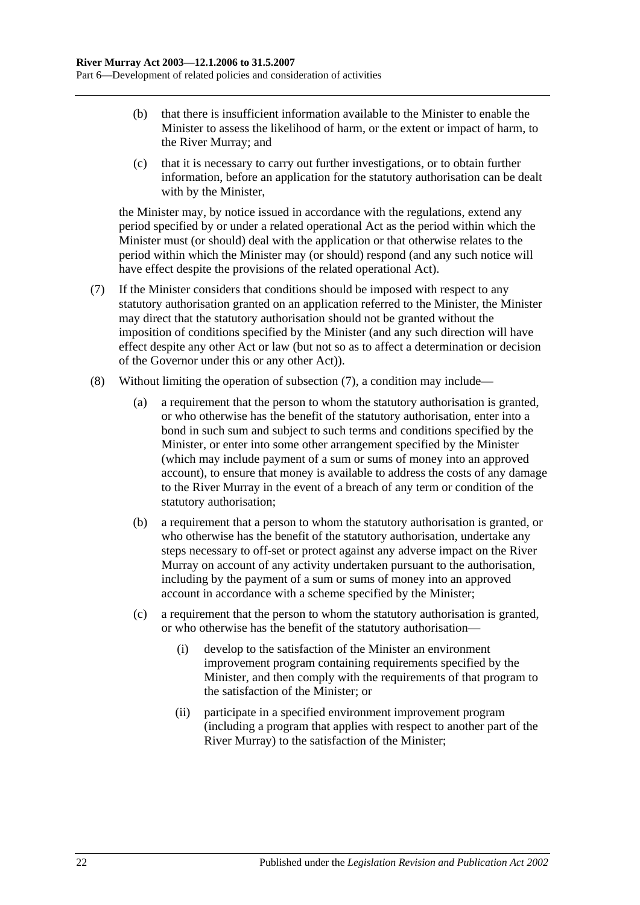- (b) that there is insufficient information available to the Minister to enable the Minister to assess the likelihood of harm, or the extent or impact of harm, to the River Murray; and
- (c) that it is necessary to carry out further investigations, or to obtain further information, before an application for the statutory authorisation can be dealt with by the Minister,

the Minister may, by notice issued in accordance with the regulations, extend any period specified by or under a related operational Act as the period within which the Minister must (or should) deal with the application or that otherwise relates to the period within which the Minister may (or should) respond (and any such notice will have effect despite the provisions of the related operational Act).

- <span id="page-21-0"></span>(7) If the Minister considers that conditions should be imposed with respect to any statutory authorisation granted on an application referred to the Minister, the Minister may direct that the statutory authorisation should not be granted without the imposition of conditions specified by the Minister (and any such direction will have effect despite any other Act or law (but not so as to affect a determination or decision of the Governor under this or any other Act)).
- (8) Without limiting the operation of [subsection](#page-21-0) (7), a condition may include—
	- (a) a requirement that the person to whom the statutory authorisation is granted, or who otherwise has the benefit of the statutory authorisation, enter into a bond in such sum and subject to such terms and conditions specified by the Minister, or enter into some other arrangement specified by the Minister (which may include payment of a sum or sums of money into an approved account), to ensure that money is available to address the costs of any damage to the River Murray in the event of a breach of any term or condition of the statutory authorisation;
	- (b) a requirement that a person to whom the statutory authorisation is granted, or who otherwise has the benefit of the statutory authorisation, undertake any steps necessary to off-set or protect against any adverse impact on the River Murray on account of any activity undertaken pursuant to the authorisation, including by the payment of a sum or sums of money into an approved account in accordance with a scheme specified by the Minister;
	- (c) a requirement that the person to whom the statutory authorisation is granted, or who otherwise has the benefit of the statutory authorisation—
		- (i) develop to the satisfaction of the Minister an environment improvement program containing requirements specified by the Minister, and then comply with the requirements of that program to the satisfaction of the Minister; or
		- (ii) participate in a specified environment improvement program (including a program that applies with respect to another part of the River Murray) to the satisfaction of the Minister;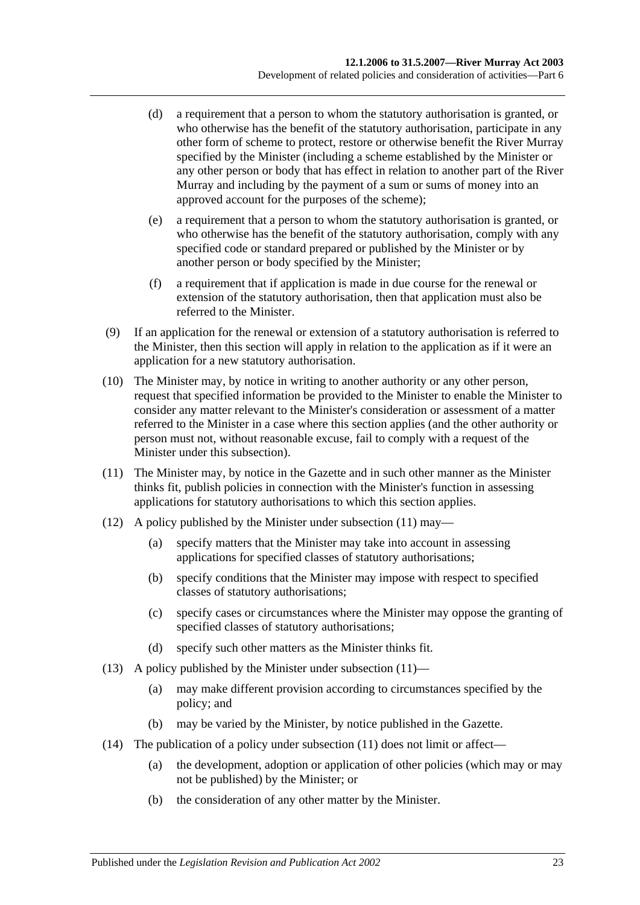- (d) a requirement that a person to whom the statutory authorisation is granted, or who otherwise has the benefit of the statutory authorisation, participate in any other form of scheme to protect, restore or otherwise benefit the River Murray specified by the Minister (including a scheme established by the Minister or any other person or body that has effect in relation to another part of the River Murray and including by the payment of a sum or sums of money into an approved account for the purposes of the scheme);
- (e) a requirement that a person to whom the statutory authorisation is granted, or who otherwise has the benefit of the statutory authorisation, comply with any specified code or standard prepared or published by the Minister or by another person or body specified by the Minister;
- (f) a requirement that if application is made in due course for the renewal or extension of the statutory authorisation, then that application must also be referred to the Minister.
- (9) If an application for the renewal or extension of a statutory authorisation is referred to the Minister, then this section will apply in relation to the application as if it were an application for a new statutory authorisation.
- (10) The Minister may, by notice in writing to another authority or any other person, request that specified information be provided to the Minister to enable the Minister to consider any matter relevant to the Minister's consideration or assessment of a matter referred to the Minister in a case where this section applies (and the other authority or person must not, without reasonable excuse, fail to comply with a request of the Minister under this subsection).
- <span id="page-22-0"></span>(11) The Minister may, by notice in the Gazette and in such other manner as the Minister thinks fit, publish policies in connection with the Minister's function in assessing applications for statutory authorisations to which this section applies.
- <span id="page-22-2"></span>(12) A policy published by the Minister under [subsection](#page-22-0) (11) may—
	- (a) specify matters that the Minister may take into account in assessing applications for specified classes of statutory authorisations;
	- (b) specify conditions that the Minister may impose with respect to specified classes of statutory authorisations;
	- (c) specify cases or circumstances where the Minister may oppose the granting of specified classes of statutory authorisations;
	- (d) specify such other matters as the Minister thinks fit.
- <span id="page-22-1"></span>(13) A policy published by the Minister under [subsection](#page-22-0)  $(11)$ —
	- (a) may make different provision according to circumstances specified by the policy; and
	- (b) may be varied by the Minister, by notice published in the Gazette.
- (14) The publication of a policy under [subsection](#page-22-0) (11) does not limit or affect—
	- (a) the development, adoption or application of other policies (which may or may not be published) by the Minister; or
	- (b) the consideration of any other matter by the Minister.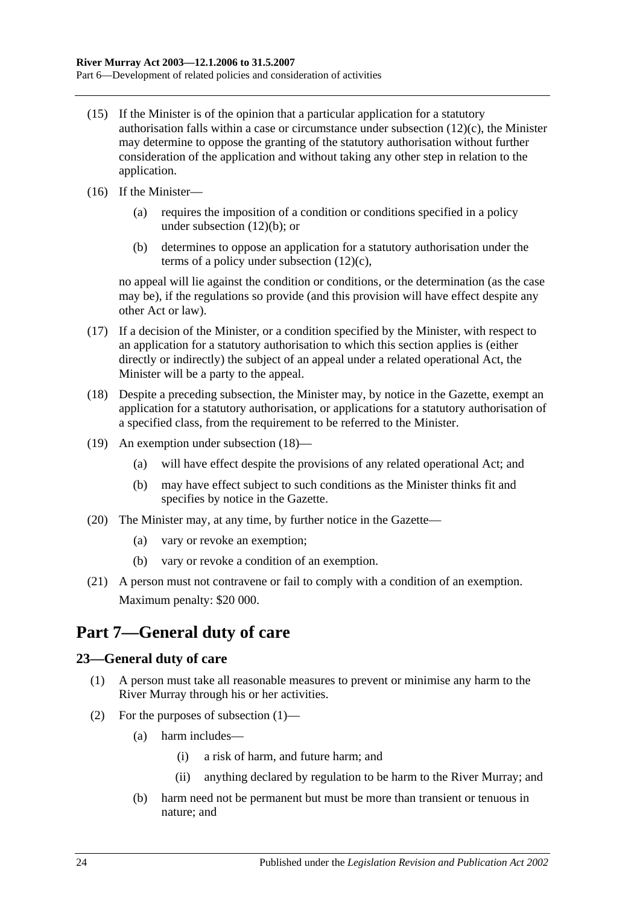- (15) If the Minister is of the opinion that a particular application for a statutory authorisation falls within a case or circumstance under [subsection](#page-22-1)  $(12)(c)$ , the Minister may determine to oppose the granting of the statutory authorisation without further consideration of the application and without taking any other step in relation to the application.
- (16) If the Minister—
	- (a) requires the imposition of a condition or conditions specified in a policy under [subsection](#page-22-2) (12)(b); or
	- (b) determines to oppose an application for a statutory authorisation under the terms of a policy under [subsection](#page-22-1) (12)(c),

no appeal will lie against the condition or conditions, or the determination (as the case may be), if the regulations so provide (and this provision will have effect despite any other Act or law).

- (17) If a decision of the Minister, or a condition specified by the Minister, with respect to an application for a statutory authorisation to which this section applies is (either directly or indirectly) the subject of an appeal under a related operational Act, the Minister will be a party to the appeal.
- <span id="page-23-2"></span>(18) Despite a preceding subsection, the Minister may, by notice in the Gazette, exempt an application for a statutory authorisation, or applications for a statutory authorisation of a specified class, from the requirement to be referred to the Minister.
- (19) An exemption under [subsection](#page-23-2) (18)—
	- (a) will have effect despite the provisions of any related operational Act; and
	- (b) may have effect subject to such conditions as the Minister thinks fit and specifies by notice in the Gazette.
- (20) The Minister may, at any time, by further notice in the Gazette—
	- (a) vary or revoke an exemption;
	- (b) vary or revoke a condition of an exemption.
- (21) A person must not contravene or fail to comply with a condition of an exemption. Maximum penalty: \$20 000.

# <span id="page-23-0"></span>**Part 7—General duty of care**

### <span id="page-23-3"></span><span id="page-23-1"></span>**23—General duty of care**

- (1) A person must take all reasonable measures to prevent or minimise any harm to the River Murray through his or her activities.
- (2) For the purposes of [subsection](#page-23-3) (1)—
	- (a) harm includes—
		- (i) a risk of harm, and future harm; and
		- (ii) anything declared by regulation to be harm to the River Murray; and
	- (b) harm need not be permanent but must be more than transient or tenuous in nature; and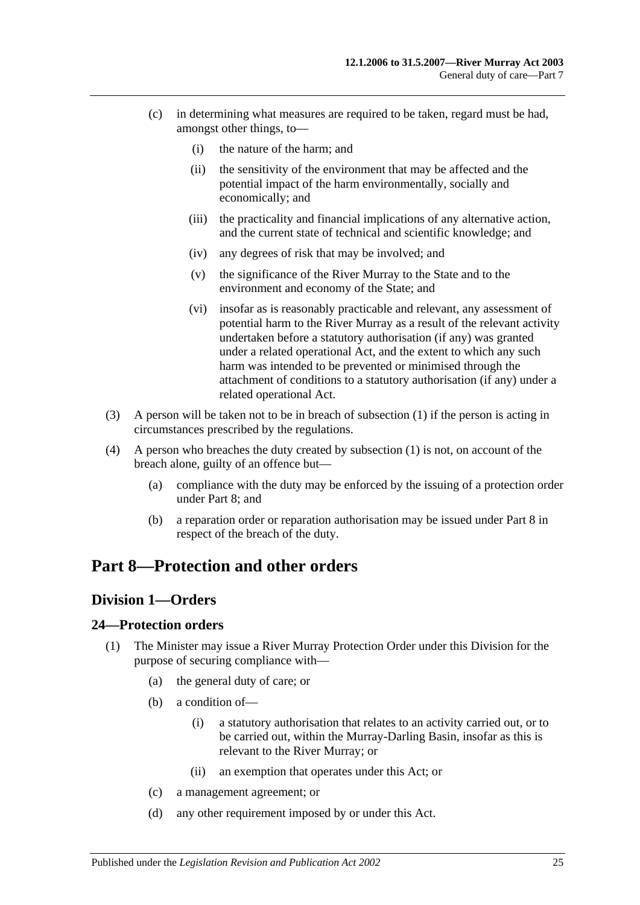- (c) in determining what measures are required to be taken, regard must be had, amongst other things, to—
	- (i) the nature of the harm; and
	- (ii) the sensitivity of the environment that may be affected and the potential impact of the harm environmentally, socially and economically; and
	- (iii) the practicality and financial implications of any alternative action, and the current state of technical and scientific knowledge; and
	- (iv) any degrees of risk that may be involved; and
	- (v) the significance of the River Murray to the State and to the environment and economy of the State; and
	- (vi) insofar as is reasonably practicable and relevant, any assessment of potential harm to the River Murray as a result of the relevant activity undertaken before a statutory authorisation (if any) was granted under a related operational Act, and the extent to which any such harm was intended to be prevented or minimised through the attachment of conditions to a statutory authorisation (if any) under a related operational Act.
- (3) A person will be taken not to be in breach of [subsection](#page-23-3) (1) if the person is acting in circumstances prescribed by the regulations.
- (4) A person who breaches the duty created by [subsection](#page-23-3) (1) is not, on account of the breach alone, guilty of an offence but—
	- (a) compliance with the duty may be enforced by the issuing of a protection order under [Part 8;](#page-24-0) and
	- (b) a reparation order or reparation authorisation may be issued under [Part 8](#page-24-0) in respect of the breach of the duty.

# <span id="page-24-1"></span><span id="page-24-0"></span>**Part 8—Protection and other orders**

### **Division 1—Orders**

### <span id="page-24-2"></span>**24—Protection orders**

- (1) The Minister may issue a River Murray Protection Order under this Division for the purpose of securing compliance with—
	- (a) the general duty of care; or
	- (b) a condition of—
		- (i) a statutory authorisation that relates to an activity carried out, or to be carried out, within the Murray-Darling Basin, insofar as this is relevant to the River Murray; or
		- (ii) an exemption that operates under this Act; or
	- (c) a management agreement; or
	- (d) any other requirement imposed by or under this Act.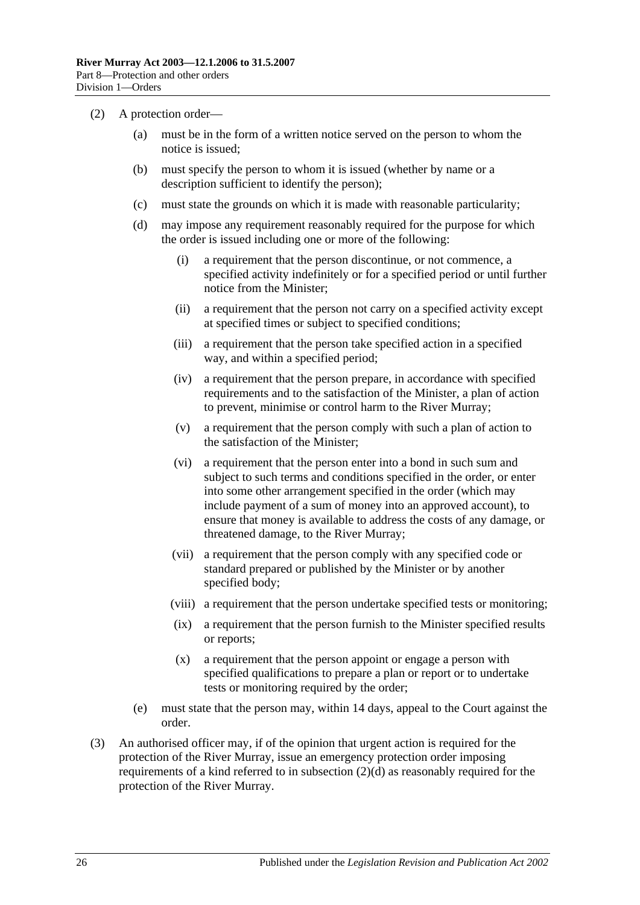- <span id="page-25-0"></span>(2) A protection order—
	- (a) must be in the form of a written notice served on the person to whom the notice is issued;
	- (b) must specify the person to whom it is issued (whether by name or a description sufficient to identify the person);
	- (c) must state the grounds on which it is made with reasonable particularity;
	- (d) may impose any requirement reasonably required for the purpose for which the order is issued including one or more of the following:
		- (i) a requirement that the person discontinue, or not commence, a specified activity indefinitely or for a specified period or until further notice from the Minister;
		- (ii) a requirement that the person not carry on a specified activity except at specified times or subject to specified conditions;
		- (iii) a requirement that the person take specified action in a specified way, and within a specified period;
		- (iv) a requirement that the person prepare, in accordance with specified requirements and to the satisfaction of the Minister, a plan of action to prevent, minimise or control harm to the River Murray;
		- (v) a requirement that the person comply with such a plan of action to the satisfaction of the Minister;
		- (vi) a requirement that the person enter into a bond in such sum and subject to such terms and conditions specified in the order, or enter into some other arrangement specified in the order (which may include payment of a sum of money into an approved account), to ensure that money is available to address the costs of any damage, or threatened damage, to the River Murray;
		- (vii) a requirement that the person comply with any specified code or standard prepared or published by the Minister or by another specified body;
		- (viii) a requirement that the person undertake specified tests or monitoring;
		- (ix) a requirement that the person furnish to the Minister specified results or reports;
		- (x) a requirement that the person appoint or engage a person with specified qualifications to prepare a plan or report or to undertake tests or monitoring required by the order;
	- (e) must state that the person may, within 14 days, appeal to the Court against the order.
- (3) An authorised officer may, if of the opinion that urgent action is required for the protection of the River Murray, issue an emergency protection order imposing requirements of a kind referred to in [subsection](#page-25-0)  $(2)(d)$  as reasonably required for the protection of the River Murray.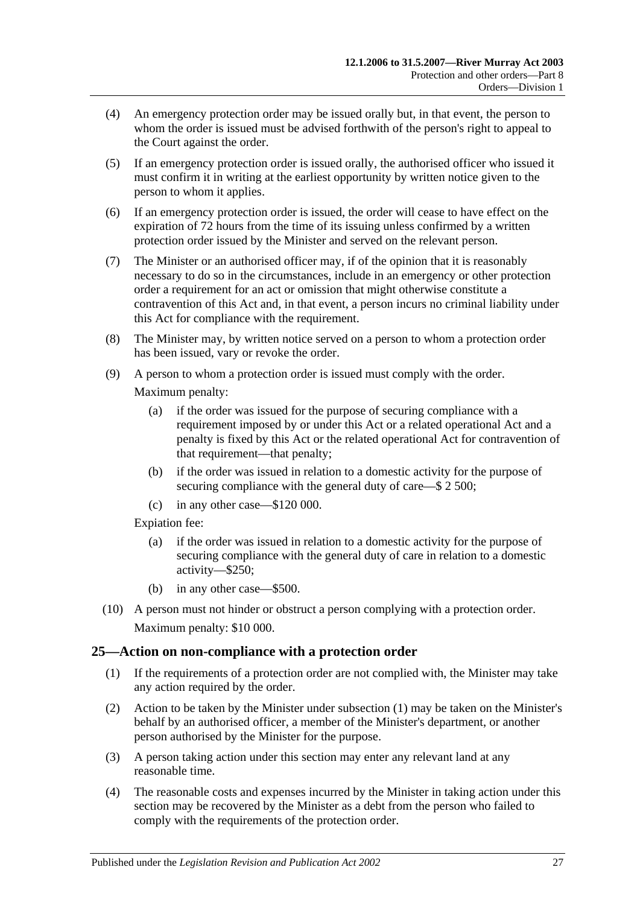- (4) An emergency protection order may be issued orally but, in that event, the person to whom the order is issued must be advised forthwith of the person's right to appeal to the Court against the order.
- (5) If an emergency protection order is issued orally, the authorised officer who issued it must confirm it in writing at the earliest opportunity by written notice given to the person to whom it applies.
- (6) If an emergency protection order is issued, the order will cease to have effect on the expiration of 72 hours from the time of its issuing unless confirmed by a written protection order issued by the Minister and served on the relevant person.
- (7) The Minister or an authorised officer may, if of the opinion that it is reasonably necessary to do so in the circumstances, include in an emergency or other protection order a requirement for an act or omission that might otherwise constitute a contravention of this Act and, in that event, a person incurs no criminal liability under this Act for compliance with the requirement.
- (8) The Minister may, by written notice served on a person to whom a protection order has been issued, vary or revoke the order.
- (9) A person to whom a protection order is issued must comply with the order.

Maximum penalty:

- (a) if the order was issued for the purpose of securing compliance with a requirement imposed by or under this Act or a related operational Act and a penalty is fixed by this Act or the related operational Act for contravention of that requirement—that penalty;
- (b) if the order was issued in relation to a domestic activity for the purpose of securing compliance with the general duty of care—\$ 2 500;
- (c) in any other case—\$120 000.

Expiation fee:

- (a) if the order was issued in relation to a domestic activity for the purpose of securing compliance with the general duty of care in relation to a domestic activity—\$250;
- (b) in any other case—\$500.
- (10) A person must not hinder or obstruct a person complying with a protection order. Maximum penalty: \$10 000.

### <span id="page-26-1"></span><span id="page-26-0"></span>**25—Action on non-compliance with a protection order**

- (1) If the requirements of a protection order are not complied with, the Minister may take any action required by the order.
- (2) Action to be taken by the Minister under [subsection](#page-26-1) (1) may be taken on the Minister's behalf by an authorised officer, a member of the Minister's department, or another person authorised by the Minister for the purpose.
- (3) A person taking action under this section may enter any relevant land at any reasonable time.
- (4) The reasonable costs and expenses incurred by the Minister in taking action under this section may be recovered by the Minister as a debt from the person who failed to comply with the requirements of the protection order.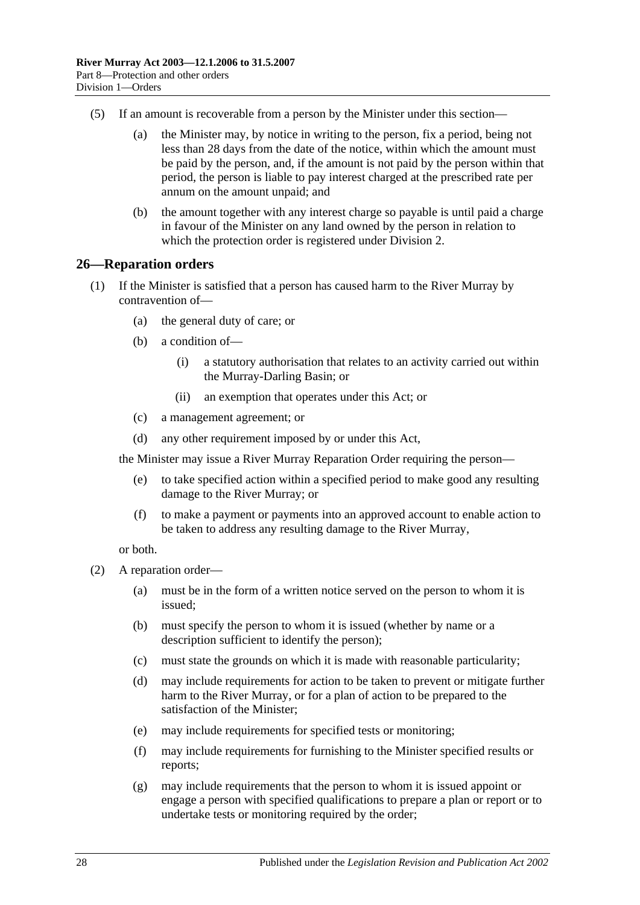- (5) If an amount is recoverable from a person by the Minister under this section—
	- (a) the Minister may, by notice in writing to the person, fix a period, being not less than 28 days from the date of the notice, within which the amount must be paid by the person, and, if the amount is not paid by the person within that period, the person is liable to pay interest charged at the prescribed rate per annum on the amount unpaid; and
	- (b) the amount together with any interest charge so payable is until paid a charge in favour of the Minister on any land owned by the person in relation to which the protection order is registered under [Division 2.](#page-31-1)

#### <span id="page-27-0"></span>**26—Reparation orders**

- (1) If the Minister is satisfied that a person has caused harm to the River Murray by contravention of—
	- (a) the general duty of care; or
	- (b) a condition of—
		- (i) a statutory authorisation that relates to an activity carried out within the Murray-Darling Basin; or
		- (ii) an exemption that operates under this Act; or
	- (c) a management agreement; or
	- (d) any other requirement imposed by or under this Act,

the Minister may issue a River Murray Reparation Order requiring the person—

- (e) to take specified action within a specified period to make good any resulting damage to the River Murray; or
- (f) to make a payment or payments into an approved account to enable action to be taken to address any resulting damage to the River Murray,

or both.

- <span id="page-27-1"></span>(2) A reparation order—
	- (a) must be in the form of a written notice served on the person to whom it is issued;
	- (b) must specify the person to whom it is issued (whether by name or a description sufficient to identify the person);
	- (c) must state the grounds on which it is made with reasonable particularity;
	- (d) may include requirements for action to be taken to prevent or mitigate further harm to the River Murray, or for a plan of action to be prepared to the satisfaction of the Minister;
	- (e) may include requirements for specified tests or monitoring;
	- (f) may include requirements for furnishing to the Minister specified results or reports;
	- (g) may include requirements that the person to whom it is issued appoint or engage a person with specified qualifications to prepare a plan or report or to undertake tests or monitoring required by the order;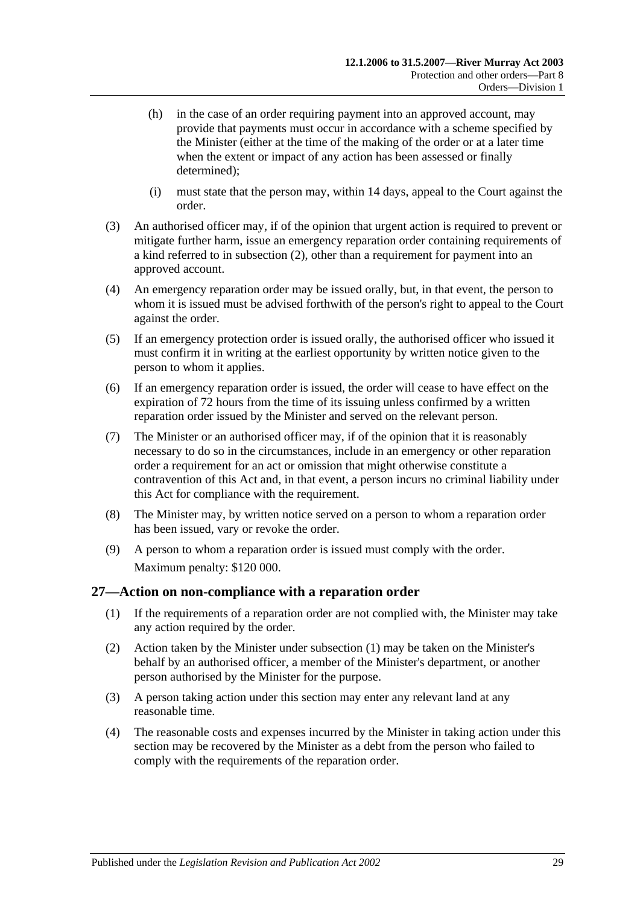- (h) in the case of an order requiring payment into an approved account, may provide that payments must occur in accordance with a scheme specified by the Minister (either at the time of the making of the order or at a later time when the extent or impact of any action has been assessed or finally determined);
- (i) must state that the person may, within 14 days, appeal to the Court against the order.
- (3) An authorised officer may, if of the opinion that urgent action is required to prevent or mitigate further harm, issue an emergency reparation order containing requirements of a kind referred to in [subsection](#page-27-1) (2), other than a requirement for payment into an approved account.
- (4) An emergency reparation order may be issued orally, but, in that event, the person to whom it is issued must be advised forthwith of the person's right to appeal to the Court against the order.
- (5) If an emergency protection order is issued orally, the authorised officer who issued it must confirm it in writing at the earliest opportunity by written notice given to the person to whom it applies.
- (6) If an emergency reparation order is issued, the order will cease to have effect on the expiration of 72 hours from the time of its issuing unless confirmed by a written reparation order issued by the Minister and served on the relevant person.
- (7) The Minister or an authorised officer may, if of the opinion that it is reasonably necessary to do so in the circumstances, include in an emergency or other reparation order a requirement for an act or omission that might otherwise constitute a contravention of this Act and, in that event, a person incurs no criminal liability under this Act for compliance with the requirement.
- (8) The Minister may, by written notice served on a person to whom a reparation order has been issued, vary or revoke the order.
- (9) A person to whom a reparation order is issued must comply with the order. Maximum penalty: \$120 000.

### <span id="page-28-1"></span><span id="page-28-0"></span>**27—Action on non-compliance with a reparation order**

- (1) If the requirements of a reparation order are not complied with, the Minister may take any action required by the order.
- (2) Action taken by the Minister under [subsection](#page-28-1) (1) may be taken on the Minister's behalf by an authorised officer, a member of the Minister's department, or another person authorised by the Minister for the purpose.
- (3) A person taking action under this section may enter any relevant land at any reasonable time.
- (4) The reasonable costs and expenses incurred by the Minister in taking action under this section may be recovered by the Minister as a debt from the person who failed to comply with the requirements of the reparation order.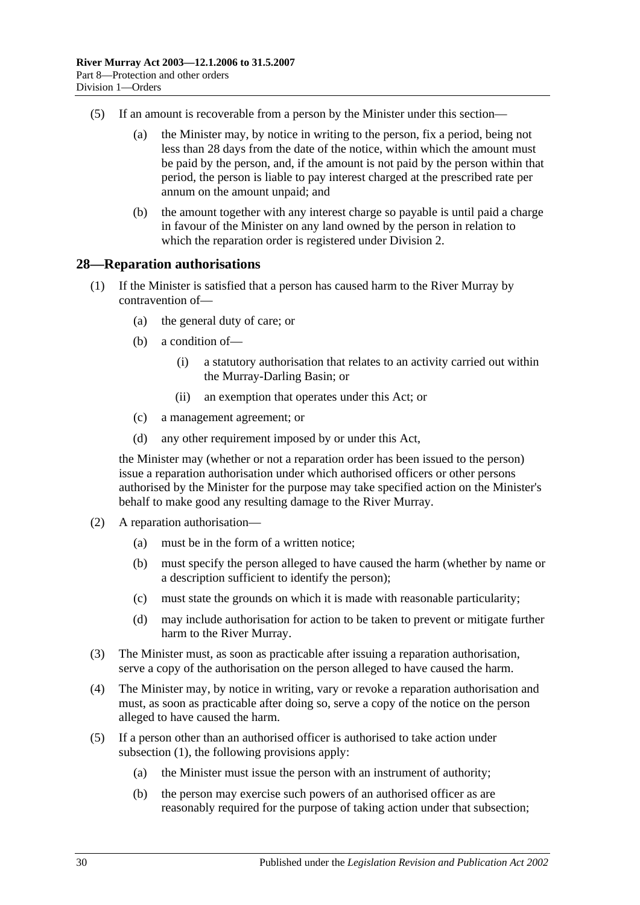- (5) If an amount is recoverable from a person by the Minister under this section—
	- (a) the Minister may, by notice in writing to the person, fix a period, being not less than 28 days from the date of the notice, within which the amount must be paid by the person, and, if the amount is not paid by the person within that period, the person is liable to pay interest charged at the prescribed rate per annum on the amount unpaid; and
	- (b) the amount together with any interest charge so payable is until paid a charge in favour of the Minister on any land owned by the person in relation to which the reparation order is registered under [Division 2.](#page-31-1)

#### <span id="page-29-1"></span><span id="page-29-0"></span>**28—Reparation authorisations**

- (1) If the Minister is satisfied that a person has caused harm to the River Murray by contravention of—
	- (a) the general duty of care; or
	- (b) a condition of—
		- (i) a statutory authorisation that relates to an activity carried out within the Murray-Darling Basin; or
		- (ii) an exemption that operates under this Act; or
	- (c) a management agreement; or
	- (d) any other requirement imposed by or under this Act,

the Minister may (whether or not a reparation order has been issued to the person) issue a reparation authorisation under which authorised officers or other persons authorised by the Minister for the purpose may take specified action on the Minister's behalf to make good any resulting damage to the River Murray.

- (2) A reparation authorisation—
	- (a) must be in the form of a written notice;
	- (b) must specify the person alleged to have caused the harm (whether by name or a description sufficient to identify the person);
	- (c) must state the grounds on which it is made with reasonable particularity;
	- (d) may include authorisation for action to be taken to prevent or mitigate further harm to the River Murray.
- (3) The Minister must, as soon as practicable after issuing a reparation authorisation, serve a copy of the authorisation on the person alleged to have caused the harm.
- (4) The Minister may, by notice in writing, vary or revoke a reparation authorisation and must, as soon as practicable after doing so, serve a copy of the notice on the person alleged to have caused the harm.
- (5) If a person other than an authorised officer is authorised to take action under [subsection](#page-29-1) (1), the following provisions apply:
	- (a) the Minister must issue the person with an instrument of authority;
	- (b) the person may exercise such powers of an authorised officer as are reasonably required for the purpose of taking action under that subsection;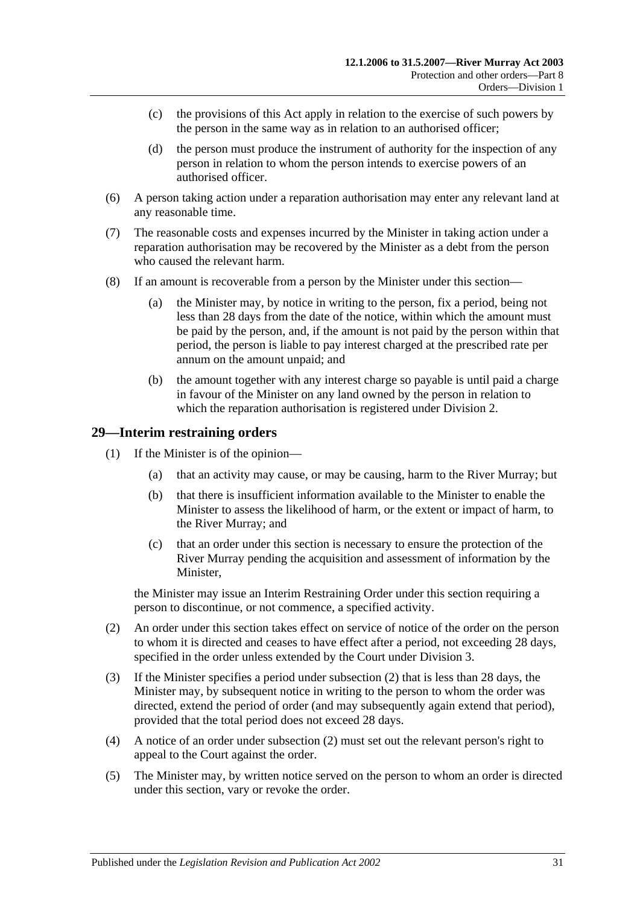- (c) the provisions of this Act apply in relation to the exercise of such powers by the person in the same way as in relation to an authorised officer;
- (d) the person must produce the instrument of authority for the inspection of any person in relation to whom the person intends to exercise powers of an authorised officer.
- (6) A person taking action under a reparation authorisation may enter any relevant land at any reasonable time.
- (7) The reasonable costs and expenses incurred by the Minister in taking action under a reparation authorisation may be recovered by the Minister as a debt from the person who caused the relevant harm.
- (8) If an amount is recoverable from a person by the Minister under this section—
	- (a) the Minister may, by notice in writing to the person, fix a period, being not less than 28 days from the date of the notice, within which the amount must be paid by the person, and, if the amount is not paid by the person within that period, the person is liable to pay interest charged at the prescribed rate per annum on the amount unpaid; and
	- (b) the amount together with any interest charge so payable is until paid a charge in favour of the Minister on any land owned by the person in relation to which the reparation authorisation is registered under [Division 2.](#page-31-1)

### <span id="page-30-0"></span>**29—Interim restraining orders**

- (1) If the Minister is of the opinion—
	- (a) that an activity may cause, or may be causing, harm to the River Murray; but
	- (b) that there is insufficient information available to the Minister to enable the Minister to assess the likelihood of harm, or the extent or impact of harm, to the River Murray; and
	- (c) that an order under this section is necessary to ensure the protection of the River Murray pending the acquisition and assessment of information by the Minister,

the Minister may issue an Interim Restraining Order under this section requiring a person to discontinue, or not commence, a specified activity.

- <span id="page-30-1"></span>(2) An order under this section takes effect on service of notice of the order on the person to whom it is directed and ceases to have effect after a period, not exceeding 28 days, specified in the order unless extended by the Court under [Division 3.](#page-32-1)
- (3) If the Minister specifies a period under [subsection](#page-30-1) (2) that is less than 28 days, the Minister may, by subsequent notice in writing to the person to whom the order was directed, extend the period of order (and may subsequently again extend that period), provided that the total period does not exceed 28 days.
- (4) A notice of an order under [subsection](#page-30-1) (2) must set out the relevant person's right to appeal to the Court against the order.
- (5) The Minister may, by written notice served on the person to whom an order is directed under this section, vary or revoke the order.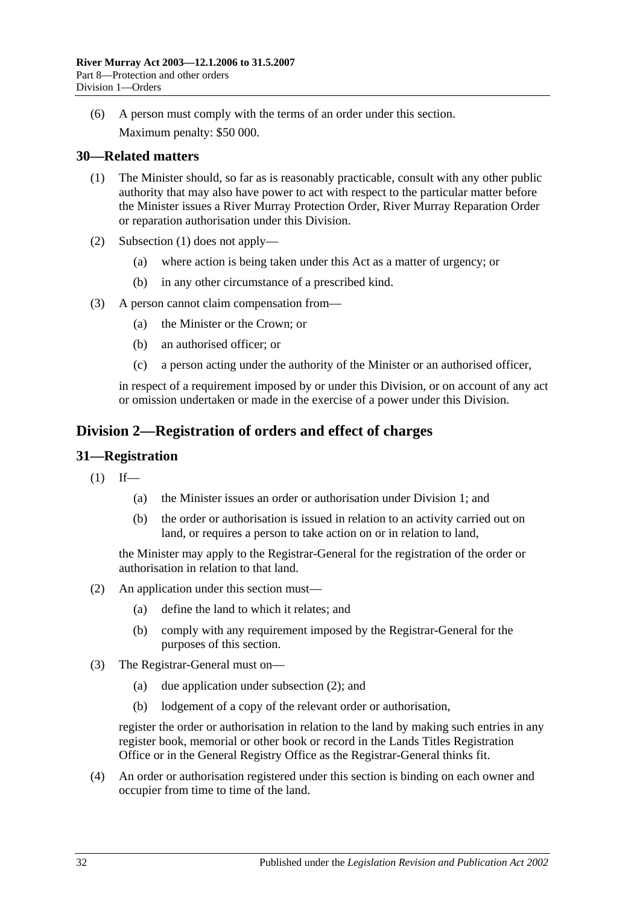(6) A person must comply with the terms of an order under this section. Maximum penalty: \$50 000.

### <span id="page-31-3"></span><span id="page-31-0"></span>**30—Related matters**

- (1) The Minister should, so far as is reasonably practicable, consult with any other public authority that may also have power to act with respect to the particular matter before the Minister issues a River Murray Protection Order, River Murray Reparation Order or reparation authorisation under this Division.
- (2) [Subsection](#page-31-3) (1) does not apply—
	- (a) where action is being taken under this Act as a matter of urgency; or
	- (b) in any other circumstance of a prescribed kind.
- (3) A person cannot claim compensation from—
	- (a) the Minister or the Crown; or
	- (b) an authorised officer; or
	- (c) a person acting under the authority of the Minister or an authorised officer,

in respect of a requirement imposed by or under this Division, or on account of any act or omission undertaken or made in the exercise of a power under this Division.

### <span id="page-31-1"></span>**Division 2—Registration of orders and effect of charges**

### <span id="page-31-2"></span>**31—Registration**

- $(1)$  If—
	- (a) the Minister issues an order or authorisation under [Division 1;](#page-24-1) and
	- (b) the order or authorisation is issued in relation to an activity carried out on land, or requires a person to take action on or in relation to land,

the Minister may apply to the Registrar-General for the registration of the order or authorisation in relation to that land.

- <span id="page-31-4"></span>(2) An application under this section must—
	- (a) define the land to which it relates; and
	- (b) comply with any requirement imposed by the Registrar-General for the purposes of this section.
- (3) The Registrar-General must on—
	- (a) due application under [subsection](#page-31-4) (2); and
	- (b) lodgement of a copy of the relevant order or authorisation,

register the order or authorisation in relation to the land by making such entries in any register book, memorial or other book or record in the Lands Titles Registration Office or in the General Registry Office as the Registrar-General thinks fit.

(4) An order or authorisation registered under this section is binding on each owner and occupier from time to time of the land.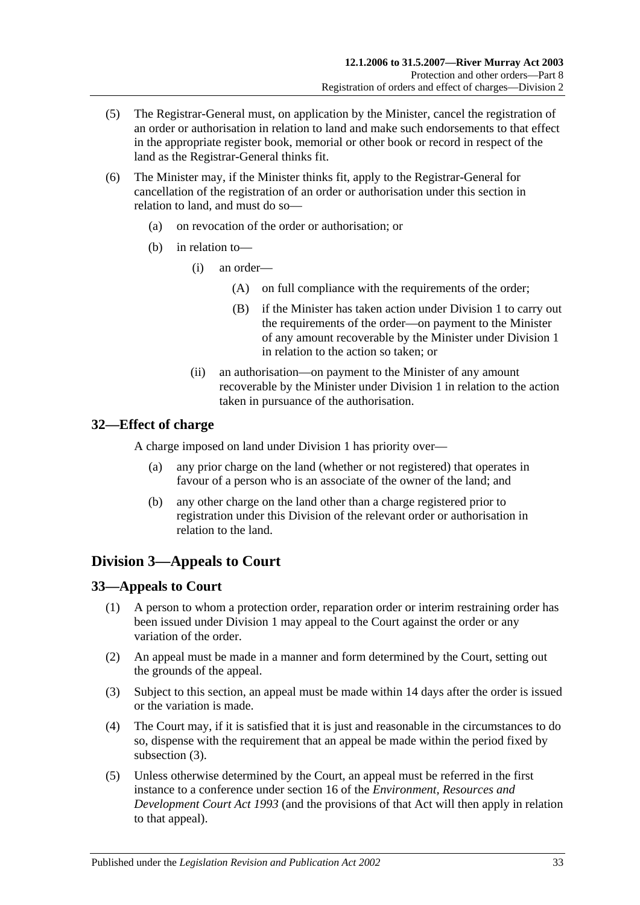- (5) The Registrar-General must, on application by the Minister, cancel the registration of an order or authorisation in relation to land and make such endorsements to that effect in the appropriate register book, memorial or other book or record in respect of the land as the Registrar-General thinks fit.
- (6) The Minister may, if the Minister thinks fit, apply to the Registrar-General for cancellation of the registration of an order or authorisation under this section in relation to land, and must do so—
	- (a) on revocation of the order or authorisation; or
	- (b) in relation to—
		- (i) an order—
			- (A) on full compliance with the requirements of the order;
			- (B) if the Minister has taken action under [Division 1](#page-24-1) to carry out the requirements of the order—on payment to the Minister of any amount recoverable by the Minister under [Division 1](#page-24-1) in relation to the action so taken; or
		- (ii) an authorisation—on payment to the Minister of any amount recoverable by the Minister under [Division 1](#page-24-1) in relation to the action taken in pursuance of the authorisation.

### <span id="page-32-0"></span>**32—Effect of charge**

A charge imposed on land under [Division 1](#page-24-1) has priority over—

- (a) any prior charge on the land (whether or not registered) that operates in favour of a person who is an associate of the owner of the land; and
- (b) any other charge on the land other than a charge registered prior to registration under this Division of the relevant order or authorisation in relation to the land.

### <span id="page-32-1"></span>**Division 3—Appeals to Court**

### <span id="page-32-2"></span>**33—Appeals to Court**

- (1) A person to whom a protection order, reparation order or interim restraining order has been issued under [Division 1](#page-24-1) may appeal to the Court against the order or any variation of the order.
- (2) An appeal must be made in a manner and form determined by the Court, setting out the grounds of the appeal.
- <span id="page-32-3"></span>(3) Subject to this section, an appeal must be made within 14 days after the order is issued or the variation is made.
- (4) The Court may, if it is satisfied that it is just and reasonable in the circumstances to do so, dispense with the requirement that an appeal be made within the period fixed by [subsection](#page-32-3) (3).
- (5) Unless otherwise determined by the Court, an appeal must be referred in the first instance to a conference under section 16 of the *[Environment, Resources and](http://www.legislation.sa.gov.au/index.aspx?action=legref&type=act&legtitle=Environment%20Resources%20and%20Development%20Court%20Act%201993)  [Development Court Act](http://www.legislation.sa.gov.au/index.aspx?action=legref&type=act&legtitle=Environment%20Resources%20and%20Development%20Court%20Act%201993) 1993* (and the provisions of that Act will then apply in relation to that appeal).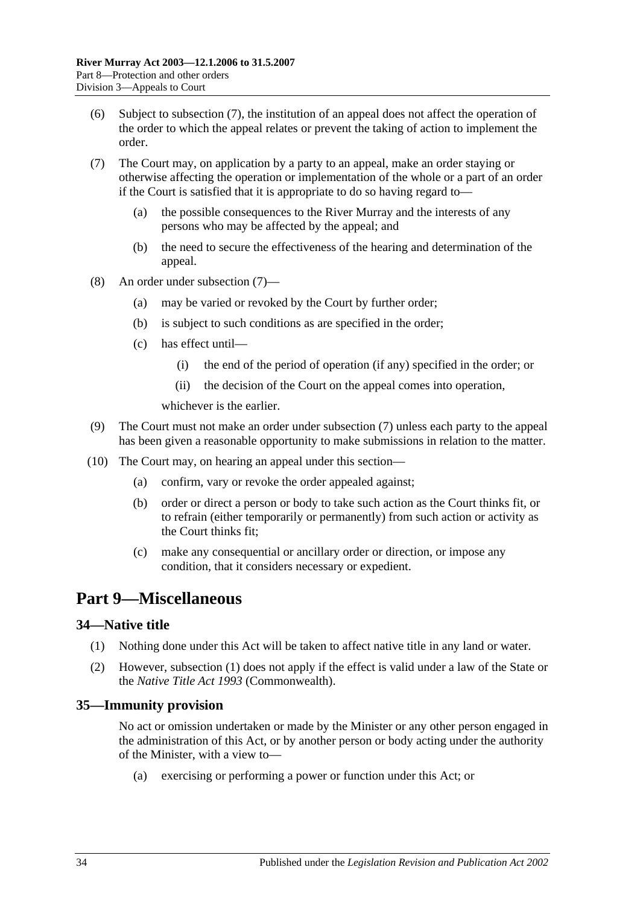- (6) Subject to [subsection](#page-33-3) (7), the institution of an appeal does not affect the operation of the order to which the appeal relates or prevent the taking of action to implement the order.
- <span id="page-33-3"></span>(7) The Court may, on application by a party to an appeal, make an order staying or otherwise affecting the operation or implementation of the whole or a part of an order if the Court is satisfied that it is appropriate to do so having regard to—
	- (a) the possible consequences to the River Murray and the interests of any persons who may be affected by the appeal; and
	- (b) the need to secure the effectiveness of the hearing and determination of the appeal.
- (8) An order under [subsection](#page-33-3) (7)—
	- (a) may be varied or revoked by the Court by further order;
	- (b) is subject to such conditions as are specified in the order;
	- (c) has effect until—
		- (i) the end of the period of operation (if any) specified in the order; or
		- (ii) the decision of the Court on the appeal comes into operation,

whichever is the earlier.

- (9) The Court must not make an order under [subsection](#page-33-3) (7) unless each party to the appeal has been given a reasonable opportunity to make submissions in relation to the matter.
- (10) The Court may, on hearing an appeal under this section—
	- (a) confirm, vary or revoke the order appealed against;
	- (b) order or direct a person or body to take such action as the Court thinks fit, or to refrain (either temporarily or permanently) from such action or activity as the Court thinks fit;
	- (c) make any consequential or ancillary order or direction, or impose any condition, that it considers necessary or expedient.

### <span id="page-33-0"></span>**Part 9—Miscellaneous**

#### <span id="page-33-4"></span><span id="page-33-1"></span>**34—Native title**

- (1) Nothing done under this Act will be taken to affect native title in any land or water.
- (2) However, [subsection](#page-33-4) (1) does not apply if the effect is valid under a law of the State or the *Native Title Act 1993* (Commonwealth).

### <span id="page-33-2"></span>**35—Immunity provision**

No act or omission undertaken or made by the Minister or any other person engaged in the administration of this Act, or by another person or body acting under the authority of the Minister, with a view to—

(a) exercising or performing a power or function under this Act; or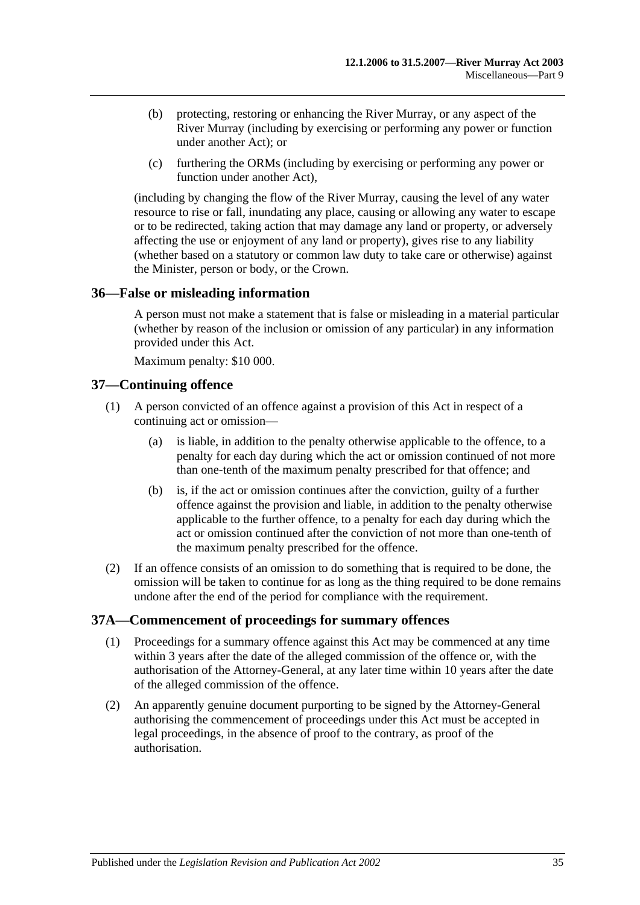- (b) protecting, restoring or enhancing the River Murray, or any aspect of the River Murray (including by exercising or performing any power or function under another Act); or
- (c) furthering the ORMs (including by exercising or performing any power or function under another Act),

(including by changing the flow of the River Murray, causing the level of any water resource to rise or fall, inundating any place, causing or allowing any water to escape or to be redirected, taking action that may damage any land or property, or adversely affecting the use or enjoyment of any land or property), gives rise to any liability (whether based on a statutory or common law duty to take care or otherwise) against the Minister, person or body, or the Crown.

### <span id="page-34-0"></span>**36—False or misleading information**

A person must not make a statement that is false or misleading in a material particular (whether by reason of the inclusion or omission of any particular) in any information provided under this Act.

Maximum penalty: \$10 000.

### <span id="page-34-1"></span>**37—Continuing offence**

- (1) A person convicted of an offence against a provision of this Act in respect of a continuing act or omission—
	- (a) is liable, in addition to the penalty otherwise applicable to the offence, to a penalty for each day during which the act or omission continued of not more than one-tenth of the maximum penalty prescribed for that offence; and
	- (b) is, if the act or omission continues after the conviction, guilty of a further offence against the provision and liable, in addition to the penalty otherwise applicable to the further offence, to a penalty for each day during which the act or omission continued after the conviction of not more than one-tenth of the maximum penalty prescribed for the offence.
- (2) If an offence consists of an omission to do something that is required to be done, the omission will be taken to continue for as long as the thing required to be done remains undone after the end of the period for compliance with the requirement.

### <span id="page-34-2"></span>**37A—Commencement of proceedings for summary offences**

- (1) Proceedings for a summary offence against this Act may be commenced at any time within 3 years after the date of the alleged commission of the offence or, with the authorisation of the Attorney-General, at any later time within 10 years after the date of the alleged commission of the offence.
- (2) An apparently genuine document purporting to be signed by the Attorney-General authorising the commencement of proceedings under this Act must be accepted in legal proceedings, in the absence of proof to the contrary, as proof of the authorisation.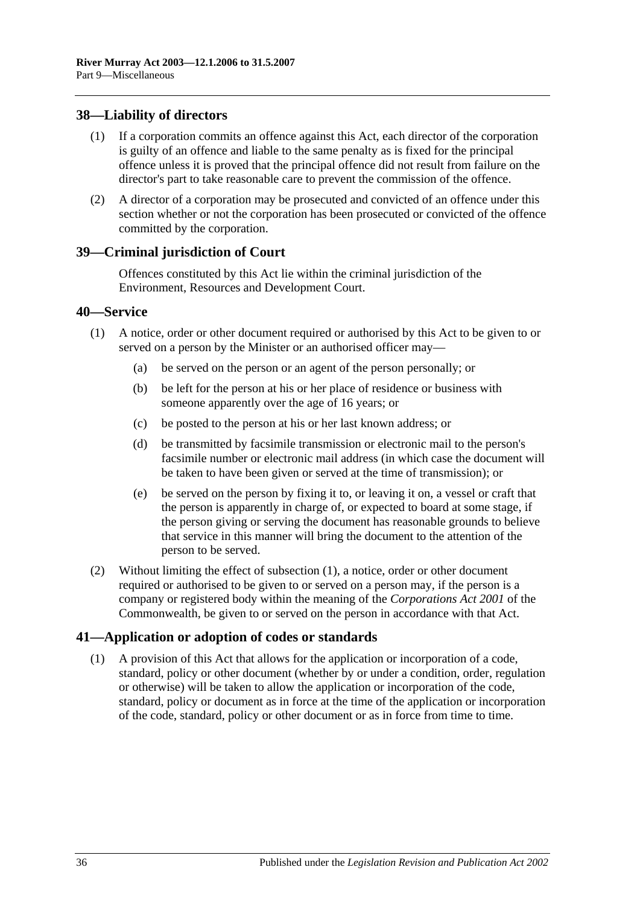### <span id="page-35-0"></span>**38—Liability of directors**

- (1) If a corporation commits an offence against this Act, each director of the corporation is guilty of an offence and liable to the same penalty as is fixed for the principal offence unless it is proved that the principal offence did not result from failure on the director's part to take reasonable care to prevent the commission of the offence.
- (2) A director of a corporation may be prosecuted and convicted of an offence under this section whether or not the corporation has been prosecuted or convicted of the offence committed by the corporation.

#### <span id="page-35-1"></span>**39—Criminal jurisdiction of Court**

Offences constituted by this Act lie within the criminal jurisdiction of the Environment, Resources and Development Court.

#### <span id="page-35-4"></span><span id="page-35-2"></span>**40—Service**

- (1) A notice, order or other document required or authorised by this Act to be given to or served on a person by the Minister or an authorised officer may—
	- (a) be served on the person or an agent of the person personally; or
	- (b) be left for the person at his or her place of residence or business with someone apparently over the age of 16 years; or
	- (c) be posted to the person at his or her last known address; or
	- (d) be transmitted by facsimile transmission or electronic mail to the person's facsimile number or electronic mail address (in which case the document will be taken to have been given or served at the time of transmission); or
	- (e) be served on the person by fixing it to, or leaving it on, a vessel or craft that the person is apparently in charge of, or expected to board at some stage, if the person giving or serving the document has reasonable grounds to believe that service in this manner will bring the document to the attention of the person to be served.
- (2) Without limiting the effect of [subsection](#page-35-4) (1), a notice, order or other document required or authorised to be given to or served on a person may, if the person is a company or registered body within the meaning of the *Corporations Act 2001* of the Commonwealth, be given to or served on the person in accordance with that Act.

#### <span id="page-35-3"></span>**41—Application or adoption of codes or standards**

(1) A provision of this Act that allows for the application or incorporation of a code, standard, policy or other document (whether by or under a condition, order, regulation or otherwise) will be taken to allow the application or incorporation of the code, standard, policy or document as in force at the time of the application or incorporation of the code, standard, policy or other document or as in force from time to time.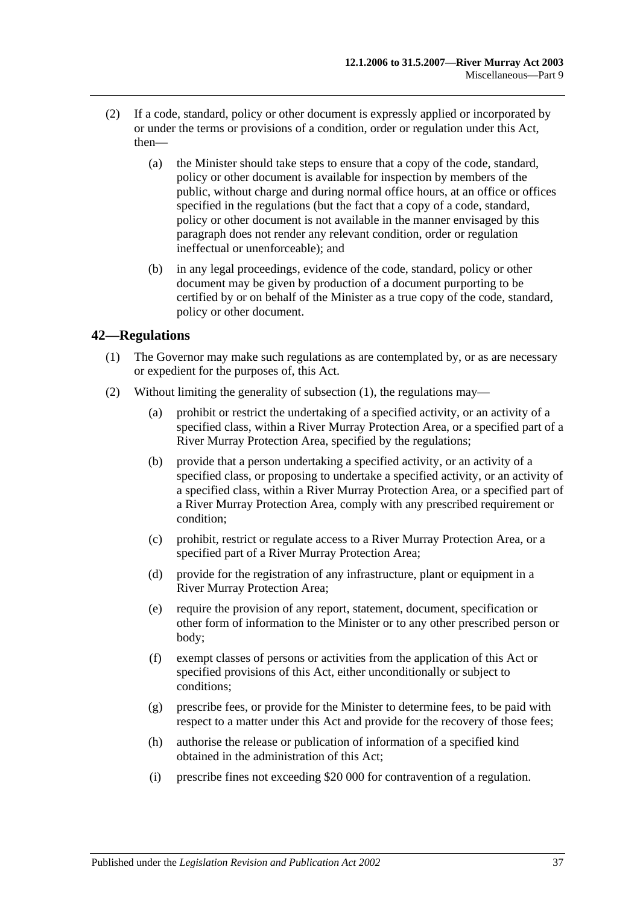- (2) If a code, standard, policy or other document is expressly applied or incorporated by or under the terms or provisions of a condition, order or regulation under this Act, then—
	- (a) the Minister should take steps to ensure that a copy of the code, standard, policy or other document is available for inspection by members of the public, without charge and during normal office hours, at an office or offices specified in the regulations (but the fact that a copy of a code, standard, policy or other document is not available in the manner envisaged by this paragraph does not render any relevant condition, order or regulation ineffectual or unenforceable); and
	- (b) in any legal proceedings, evidence of the code, standard, policy or other document may be given by production of a document purporting to be certified by or on behalf of the Minister as a true copy of the code, standard, policy or other document.

### <span id="page-36-1"></span><span id="page-36-0"></span>**42—Regulations**

- (1) The Governor may make such regulations as are contemplated by, or as are necessary or expedient for the purposes of, this Act.
- <span id="page-36-5"></span><span id="page-36-4"></span><span id="page-36-3"></span><span id="page-36-2"></span>(2) Without limiting the generality of [subsection](#page-36-1) (1), the regulations may—
	- (a) prohibit or restrict the undertaking of a specified activity, or an activity of a specified class, within a River Murray Protection Area, or a specified part of a River Murray Protection Area, specified by the regulations;
	- (b) provide that a person undertaking a specified activity, or an activity of a specified class, or proposing to undertake a specified activity, or an activity of a specified class, within a River Murray Protection Area, or a specified part of a River Murray Protection Area, comply with any prescribed requirement or condition;
	- (c) prohibit, restrict or regulate access to a River Murray Protection Area, or a specified part of a River Murray Protection Area;
	- (d) provide for the registration of any infrastructure, plant or equipment in a River Murray Protection Area;
	- (e) require the provision of any report, statement, document, specification or other form of information to the Minister or to any other prescribed person or body;
	- (f) exempt classes of persons or activities from the application of this Act or specified provisions of this Act, either unconditionally or subject to conditions;
	- (g) prescribe fees, or provide for the Minister to determine fees, to be paid with respect to a matter under this Act and provide for the recovery of those fees;
	- (h) authorise the release or publication of information of a specified kind obtained in the administration of this Act;
	- (i) prescribe fines not exceeding \$20 000 for contravention of a regulation.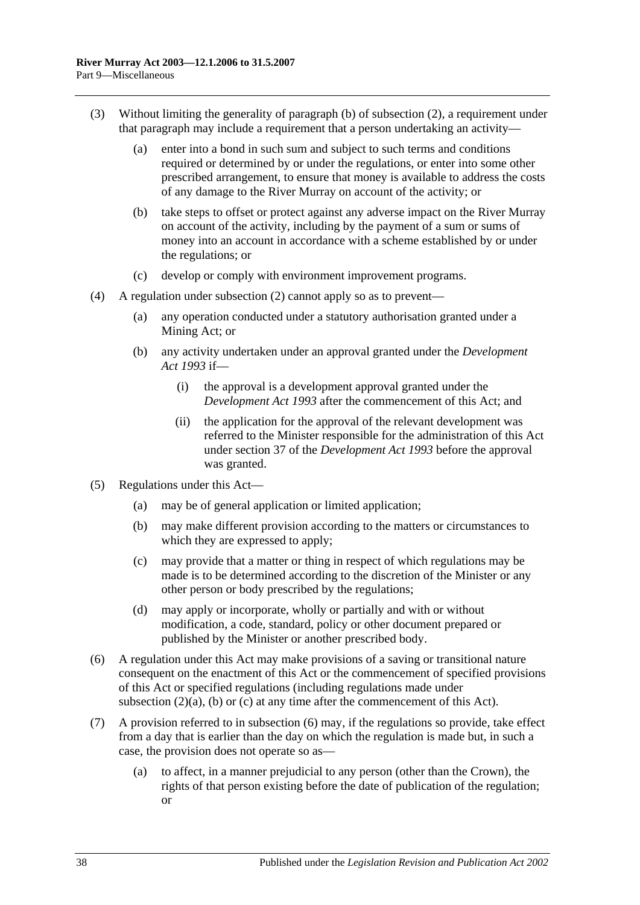- (3) Without limiting the generality of [paragraph](#page-36-2) (b) of [subsection](#page-36-3) (2), a requirement under that paragraph may include a requirement that a person undertaking an activity—
	- (a) enter into a bond in such sum and subject to such terms and conditions required or determined by or under the regulations, or enter into some other prescribed arrangement, to ensure that money is available to address the costs of any damage to the River Murray on account of the activity; or
	- (b) take steps to offset or protect against any adverse impact on the River Murray on account of the activity, including by the payment of a sum or sums of money into an account in accordance with a scheme established by or under the regulations; or
	- (c) develop or comply with environment improvement programs.
- (4) A regulation under [subsection](#page-36-3) (2) cannot apply so as to prevent—
	- (a) any operation conducted under a statutory authorisation granted under a Mining Act; or
	- (b) any activity undertaken under an approval granted under the *[Development](http://www.legislation.sa.gov.au/index.aspx?action=legref&type=act&legtitle=Development%20Act%201993)  Act [1993](http://www.legislation.sa.gov.au/index.aspx?action=legref&type=act&legtitle=Development%20Act%201993)* if—
		- (i) the approval is a development approval granted under the *[Development Act](http://www.legislation.sa.gov.au/index.aspx?action=legref&type=act&legtitle=Development%20Act%201993) 1993* after the commencement of this Act; and
		- (ii) the application for the approval of the relevant development was referred to the Minister responsible for the administration of this Act under section 37 of the *[Development Act](http://www.legislation.sa.gov.au/index.aspx?action=legref&type=act&legtitle=Development%20Act%201993) 1993* before the approval was granted.
- (5) Regulations under this Act—
	- (a) may be of general application or limited application;
	- (b) may make different provision according to the matters or circumstances to which they are expressed to apply;
	- (c) may provide that a matter or thing in respect of which regulations may be made is to be determined according to the discretion of the Minister or any other person or body prescribed by the regulations;
	- (d) may apply or incorporate, wholly or partially and with or without modification, a code, standard, policy or other document prepared or published by the Minister or another prescribed body.
- <span id="page-37-0"></span>(6) A regulation under this Act may make provisions of a saving or transitional nature consequent on the enactment of this Act or the commencement of specified provisions of this Act or specified regulations (including regulations made under [subsection](#page-36-4)  $(2)(a)$ , [\(b\)](#page-36-2) or [\(c\)](#page-36-5) at any time after the commencement of this Act).
- (7) A provision referred to in [subsection](#page-37-0) (6) may, if the regulations so provide, take effect from a day that is earlier than the day on which the regulation is made but, in such a case, the provision does not operate so as—
	- (a) to affect, in a manner prejudicial to any person (other than the Crown), the rights of that person existing before the date of publication of the regulation; or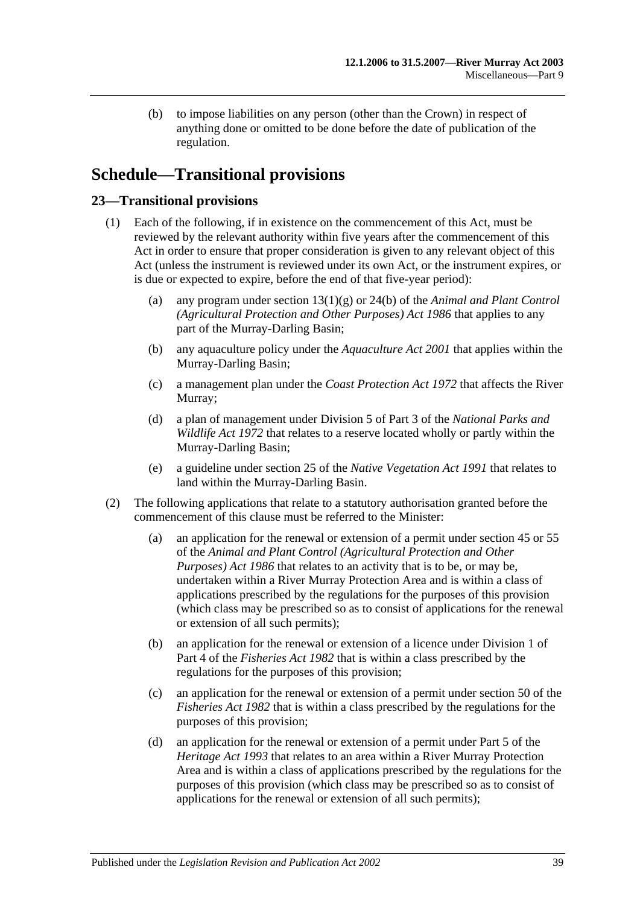(b) to impose liabilities on any person (other than the Crown) in respect of anything done or omitted to be done before the date of publication of the regulation.

# <span id="page-38-0"></span>**Schedule—Transitional provisions**

### <span id="page-38-1"></span>**23—Transitional provisions**

- (1) Each of the following, if in existence on the commencement of this Act, must be reviewed by the relevant authority within five years after the commencement of this Act in order to ensure that proper consideration is given to any relevant object of this Act (unless the instrument is reviewed under its own Act, or the instrument expires, or is due or expected to expire, before the end of that five-year period):
	- (a) any program under section 13(1)(g) or 24(b) of the *[Animal and Plant Control](http://www.legislation.sa.gov.au/index.aspx?action=legref&type=act&legtitle=Animal%20and%20Plant%20Control%20(Agricultural%20Protection%20and%20Other%20Purposes)%20Act%201986)  [\(Agricultural Protection and Other Purposes\) Act](http://www.legislation.sa.gov.au/index.aspx?action=legref&type=act&legtitle=Animal%20and%20Plant%20Control%20(Agricultural%20Protection%20and%20Other%20Purposes)%20Act%201986) 1986* that applies to any part of the Murray-Darling Basin;
	- (b) any aquaculture policy under the *[Aquaculture Act](http://www.legislation.sa.gov.au/index.aspx?action=legref&type=act&legtitle=Aquaculture%20Act%202001) 2001* that applies within the Murray-Darling Basin;
	- (c) a management plan under the *[Coast Protection Act](http://www.legislation.sa.gov.au/index.aspx?action=legref&type=act&legtitle=Coast%20Protection%20Act%201972) 1972* that affects the River Murray;
	- (d) a plan of management under Division 5 of Part 3 of the *[National Parks and](http://www.legislation.sa.gov.au/index.aspx?action=legref&type=act&legtitle=National%20Parks%20and%20Wildlife%20Act%201972)  [Wildlife Act](http://www.legislation.sa.gov.au/index.aspx?action=legref&type=act&legtitle=National%20Parks%20and%20Wildlife%20Act%201972) 1972* that relates to a reserve located wholly or partly within the Murray-Darling Basin;
	- (e) a guideline under section 25 of the *[Native Vegetation Act](http://www.legislation.sa.gov.au/index.aspx?action=legref&type=act&legtitle=Native%20Vegetation%20Act%201991) 1991* that relates to land within the Murray-Darling Basin.
- <span id="page-38-2"></span>(2) The following applications that relate to a statutory authorisation granted before the commencement of this clause must be referred to the Minister:
	- (a) an application for the renewal or extension of a permit under section 45 or 55 of the *[Animal and Plant Control \(Agricultural Protection and Other](http://www.legislation.sa.gov.au/index.aspx?action=legref&type=act&legtitle=Animal%20and%20Plant%20Control%20(Agricultural%20Protection%20and%20Other%20Purposes)%20Act%201986)  [Purposes\) Act](http://www.legislation.sa.gov.au/index.aspx?action=legref&type=act&legtitle=Animal%20and%20Plant%20Control%20(Agricultural%20Protection%20and%20Other%20Purposes)%20Act%201986) 1986* that relates to an activity that is to be, or may be, undertaken within a River Murray Protection Area and is within a class of applications prescribed by the regulations for the purposes of this provision (which class may be prescribed so as to consist of applications for the renewal or extension of all such permits);
	- (b) an application for the renewal or extension of a licence under Division 1 of Part 4 of the *[Fisheries Act](http://www.legislation.sa.gov.au/index.aspx?action=legref&type=act&legtitle=Fisheries%20Act%201982) 1982* that is within a class prescribed by the regulations for the purposes of this provision;
	- (c) an application for the renewal or extension of a permit under section 50 of the *[Fisheries Act](http://www.legislation.sa.gov.au/index.aspx?action=legref&type=act&legtitle=Fisheries%20Act%201982) 1982* that is within a class prescribed by the regulations for the purposes of this provision;
	- (d) an application for the renewal or extension of a permit under Part 5 of the *[Heritage Act](http://www.legislation.sa.gov.au/index.aspx?action=legref&type=act&legtitle=Heritage%20Act%201993) 1993* that relates to an area within a River Murray Protection Area and is within a class of applications prescribed by the regulations for the purposes of this provision (which class may be prescribed so as to consist of applications for the renewal or extension of all such permits);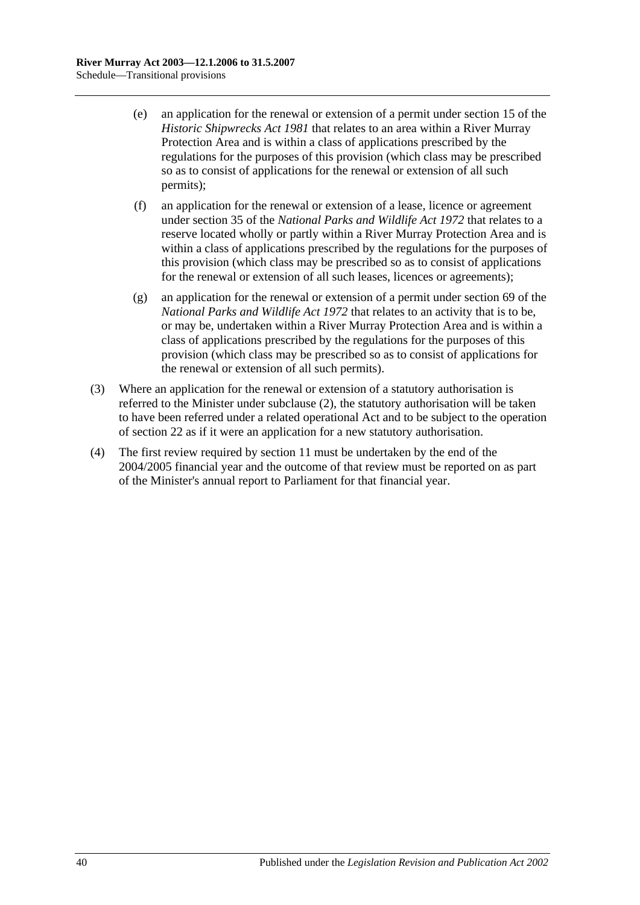- (e) an application for the renewal or extension of a permit under section 15 of the *[Historic Shipwrecks Act](http://www.legislation.sa.gov.au/index.aspx?action=legref&type=act&legtitle=Historic%20Shipwrecks%20Act%201981) 1981* that relates to an area within a River Murray Protection Area and is within a class of applications prescribed by the regulations for the purposes of this provision (which class may be prescribed so as to consist of applications for the renewal or extension of all such permits);
- (f) an application for the renewal or extension of a lease, licence or agreement under section 35 of the *[National Parks and Wildlife Act](http://www.legislation.sa.gov.au/index.aspx?action=legref&type=act&legtitle=National%20Parks%20and%20Wildlife%20Act%201972) 1972* that relates to a reserve located wholly or partly within a River Murray Protection Area and is within a class of applications prescribed by the regulations for the purposes of this provision (which class may be prescribed so as to consist of applications for the renewal or extension of all such leases, licences or agreements);
- (g) an application for the renewal or extension of a permit under section 69 of the *[National Parks and Wildlife Act](http://www.legislation.sa.gov.au/index.aspx?action=legref&type=act&legtitle=National%20Parks%20and%20Wildlife%20Act%201972) 1972* that relates to an activity that is to be, or may be, undertaken within a River Murray Protection Area and is within a class of applications prescribed by the regulations for the purposes of this provision (which class may be prescribed so as to consist of applications for the renewal or extension of all such permits).
- (3) Where an application for the renewal or extension of a statutory authorisation is referred to the Minister under [subclause](#page-38-2) (2), the statutory authorisation will be taken to have been referred under a related operational Act and to be subject to the operation of [section](#page-19-1) 22 as if it were an application for a new statutory authorisation.
- (4) The first review required by [section](#page-11-1) 11 must be undertaken by the end of the 2004/2005 financial year and the outcome of that review must be reported on as part of the Minister's annual report to Parliament for that financial year.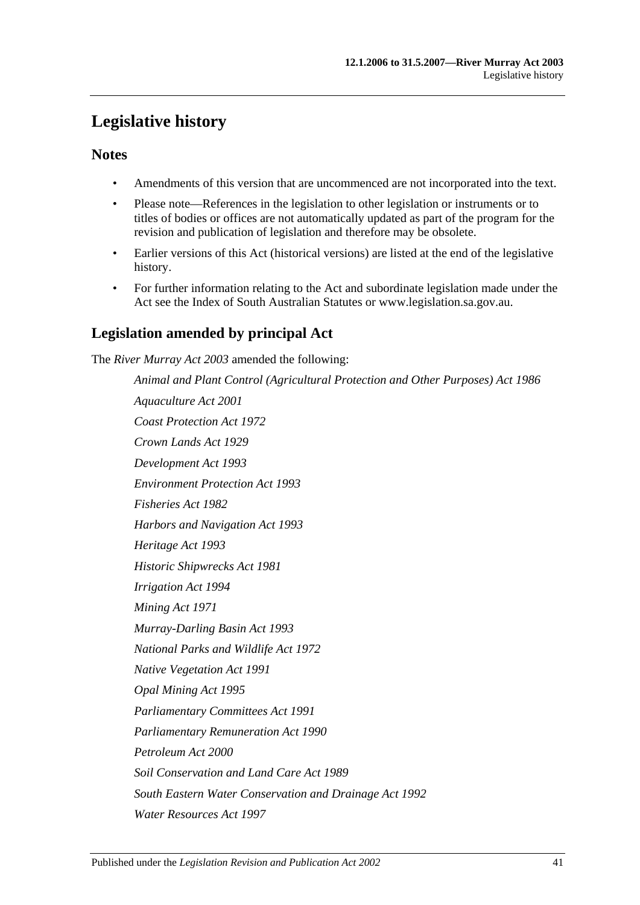# <span id="page-40-0"></span>**Legislative history**

### **Notes**

- Amendments of this version that are uncommenced are not incorporated into the text.
- Please note—References in the legislation to other legislation or instruments or to titles of bodies or offices are not automatically updated as part of the program for the revision and publication of legislation and therefore may be obsolete.
- Earlier versions of this Act (historical versions) are listed at the end of the legislative history.
- For further information relating to the Act and subordinate legislation made under the Act see the Index of South Australian Statutes or www.legislation.sa.gov.au.

### **Legislation amended by principal Act**

The *River Murray Act 2003* amended the following:

*Animal and Plant Control (Agricultural Protection and Other Purposes) Act 1986 Aquaculture Act 2001 Coast Protection Act 1972 Crown Lands Act 1929 Development Act 1993 Environment Protection Act 1993 Fisheries Act 1982 Harbors and Navigation Act 1993 Heritage Act 1993 Historic Shipwrecks Act 1981 Irrigation Act 1994 Mining Act 1971 Murray-Darling Basin Act 1993 National Parks and Wildlife Act 1972 Native Vegetation Act 1991 Opal Mining Act 1995 Parliamentary Committees Act 1991 Parliamentary Remuneration Act 1990 Petroleum Act 2000 Soil Conservation and Land Care Act 1989 South Eastern Water Conservation and Drainage Act 1992 Water Resources Act 1997*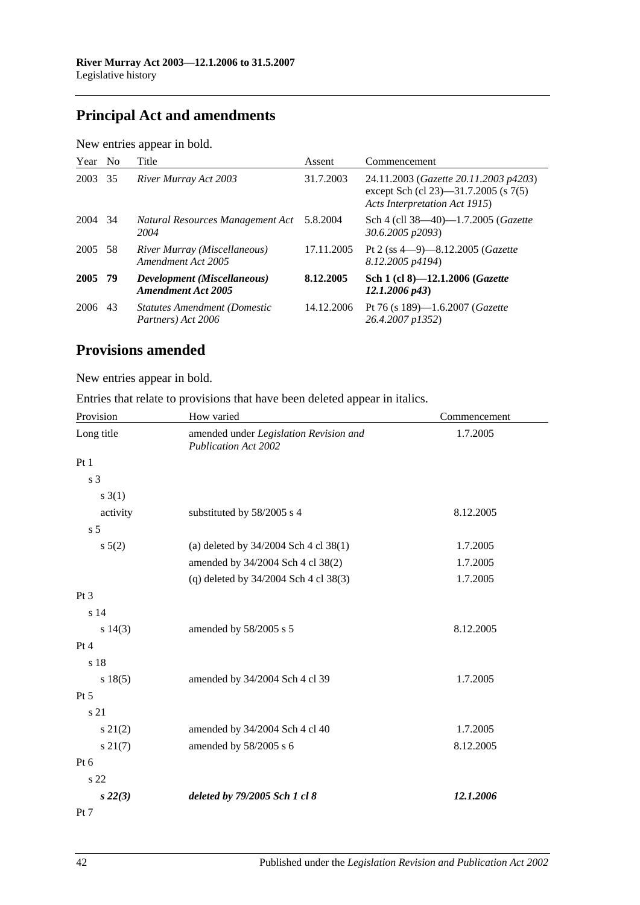# **Principal Act and amendments**

| New entries appear in bold. |  |  |
|-----------------------------|--|--|
|                             |  |  |

| Year No |    | Title                                                     | Assent     | Commencement                                                                                                   |
|---------|----|-----------------------------------------------------------|------------|----------------------------------------------------------------------------------------------------------------|
| 2003    | 35 | River Murray Act 2003                                     | 31.7.2003  | 24.11.2003 (Gazette 20.11.2003 p4203)<br>except Sch (cl 23)-31.7.2005 (s 7(5)<br>Acts Interpretation Act 1915) |
| 2004 34 |    | Natural Resources Management Act<br>2004                  | 5.8.2004   | Sch 4 (cll 38—40)—1.7.2005 ( <i>Gazette</i><br>30.6.2005 p2093)                                                |
| 2005 58 |    | River Murray (Miscellaneous)<br>Amendment Act 2005        | 17.11.2005 | Pt 2 (ss $4-9$ )-8.12.2005 ( <i>Gazette</i><br>8.12.2005 p4194)                                                |
| 2005 79 |    | Development (Miscellaneous)<br><b>Amendment Act 2005</b>  | 8.12.2005  | Sch 1 (cl 8)-12.1.2006 ( <i>Gazette</i><br>$12.1.2006\ p43$                                                    |
| 2006    | 43 | <b>Statutes Amendment (Domestic</b><br>Partners) Act 2006 | 14.12.2006 | Pt 76 (s 189)—1.6.2007 ( <i>Gazette</i><br>26.4.2007 p1352)                                                    |

## **Provisions amended**

New entries appear in bold.

| Entries that relate to provisions that have been deleted appear in italics. |
|-----------------------------------------------------------------------------|
|-----------------------------------------------------------------------------|

| Provision       | How varied                                                            | Commencement |
|-----------------|-----------------------------------------------------------------------|--------------|
| Long title      | amended under Legislation Revision and<br><b>Publication Act 2002</b> | 1.7.2005     |
| Pt1             |                                                                       |              |
| s 3             |                                                                       |              |
| $s \; 3(1)$     |                                                                       |              |
| activity        | substituted by 58/2005 s 4                                            | 8.12.2005    |
| s <sub>5</sub>  |                                                                       |              |
| $s \ 5(2)$      | (a) deleted by $34/2004$ Sch 4 cl 38(1)                               | 1.7.2005     |
|                 | amended by 34/2004 Sch 4 cl 38(2)                                     | 1.7.2005     |
|                 | (q) deleted by $34/2004$ Sch 4 cl 38(3)                               | 1.7.2005     |
| Pt <sub>3</sub> |                                                                       |              |
| s 14            |                                                                       |              |
| s 14(3)         | amended by 58/2005 s 5                                                | 8.12.2005    |
| Pt 4            |                                                                       |              |
| s 18            |                                                                       |              |
| s 18(5)         | amended by 34/2004 Sch 4 cl 39                                        | 1.7.2005     |
| Pt 5            |                                                                       |              |
| s 21            |                                                                       |              |
| $s\ 21(2)$      | amended by 34/2004 Sch 4 cl 40                                        | 1.7.2005     |
| $s\ 21(7)$      | amended by 58/2005 s 6                                                | 8.12.2005    |
| $Pt\ 6$         |                                                                       |              |
| s 22            |                                                                       |              |
| $s\,22(3)$      | deleted by 79/2005 Sch 1 cl 8                                         | 12.1.2006    |
| Pt 7            |                                                                       |              |